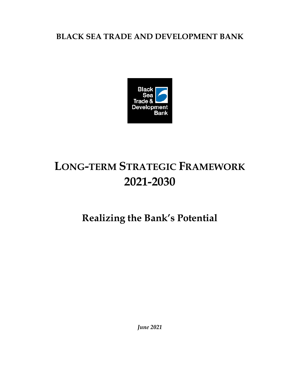# **BLACK SEA TRADE AND DEVELOPMENT BANK**



# **LONG-TERM STRATEGIC FRAMEWORK 2021-2030**

# **Realizing the Bank's Potential**

*June 2021*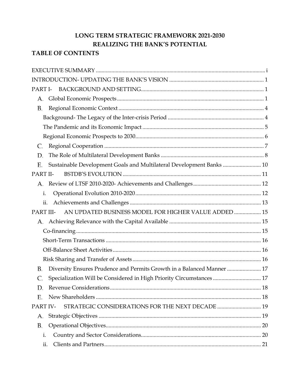# LONG TERM STRATEGIC FRAMEWORK 2021-2030 REALIZING THE BANK'S POTENTIAL

### **TABLE OF CONTENTS**

| PART I-                                                                             |  |
|-------------------------------------------------------------------------------------|--|
| А.                                                                                  |  |
| В.                                                                                  |  |
|                                                                                     |  |
|                                                                                     |  |
|                                                                                     |  |
| C.                                                                                  |  |
| D.                                                                                  |  |
| Sustainable Development Goals and Multilateral Development Banks  10<br>Ε.          |  |
| PART II-                                                                            |  |
|                                                                                     |  |
| i.                                                                                  |  |
| ii.                                                                                 |  |
| AN UPDATED BUSINESS MODEL FOR HIGHER VALUE ADDED  15<br>PART III-                   |  |
| А.                                                                                  |  |
|                                                                                     |  |
|                                                                                     |  |
|                                                                                     |  |
|                                                                                     |  |
| Diversity Ensures Prudence and Permits Growth in a Balanced Manner  17<br><b>B.</b> |  |
| Specialization Will be Considered in High Priority Circumstances  17<br>C.          |  |
|                                                                                     |  |
| Е.                                                                                  |  |
| STRATEGIC CONSIDERATIONS FOR THE NEXT DECADE  19<br>PART IV-                        |  |
| А.                                                                                  |  |
| В.                                                                                  |  |
| i.                                                                                  |  |
| ii.                                                                                 |  |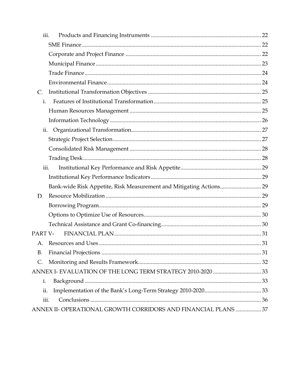| iii.                                                           |  |
|----------------------------------------------------------------|--|
|                                                                |  |
|                                                                |  |
|                                                                |  |
|                                                                |  |
|                                                                |  |
| C.                                                             |  |
| $\mathbf{i}$ .                                                 |  |
|                                                                |  |
|                                                                |  |
| ii.                                                            |  |
|                                                                |  |
|                                                                |  |
|                                                                |  |
| iii.                                                           |  |
|                                                                |  |
|                                                                |  |
| D.                                                             |  |
|                                                                |  |
|                                                                |  |
|                                                                |  |
| PART V-                                                        |  |
|                                                                |  |
| В.                                                             |  |
| C.                                                             |  |
|                                                                |  |
| i.                                                             |  |
| ii.                                                            |  |
| iii.                                                           |  |
| ANNEX II- OPERATIONAL GROWTH CORRIDORS AND FINANCIAL PLANS  37 |  |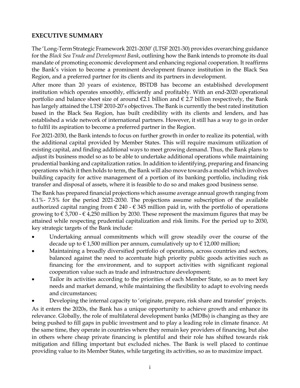#### <span id="page-3-0"></span>**EXECUTIVE SUMMARY**

The 'Long-Term Strategic Framework 2021-2030' (LTSF 2021-30) provides overarching guidance for the *Black Sea Trade and Development Bank*, outlining how the Bank intends to promote its dual mandate of promoting economic development and enhancing regional cooperation. It reaffirms the Bank's vision to become a prominent development finance institution in the Black Sea Region, and a preferred partner for its clients and its partners in development.

After more than 20 years of existence, BSTDB has become an established development institution which operates smoothly, efficiently and profitably. With an end-2020 operational portfolio and balance sheet size of around €2.1 billion and € 2.7 billion respectively, the Bank has largely attained the LTSF 2010-20's objectives. The Bank is currently the best rated institution based in the Black Sea Region, has built credibility with its clients and lenders, and has established a wide network of international partners. However, it still has a way to go in order to fulfil its aspiration to become a preferred partner in the Region.

For 2021-2030, the Bank intends to focus on further growth in order to realize its potential, with the additional capital provided by Member States. This will require maximum utilization of existing capital, and finding additional ways to meet growing demand. Thus, the Bank plans to adjust its business model so as to be able to undertake additional operations while maintaining prudential banking and capitalization ratios. In addition to identifying, preparing and financing operations which it then holds to term, the Bank will also move towards a model which involves building capacity for active management of a portion of its banking portfolio, including risk transfer and disposal of assets, where it is feasible to do so and makes good business sense.

The Bank has prepared financial projections which assume average annual growth ranging from 6.1%- 7.5% for the period 2021-2030. The projections assume subscription of the available authorized capital ranging from  $\epsilon$  240 -  $\epsilon$  345 million paid in, with the portfolio of operations growing to € 3,700 - € 4,250 million by 2030. These represent the maximum figures that may be attained while respecting prudential capitalization and risk limits. For the period up to 2030, key strategic targets of the Bank include:

- Undertaking annual commitments which will grow steadily over the course of the decade up to  $\epsilon$  1,500 million per annum, cumulatively up to  $\epsilon$  12,000 million;
- Maintaining a broadly diversified portfolio of operations, across countries and sectors, balanced against the need to accentuate high priority public goods activities such as financing for the environment, and to support activities with significant regional cooperation value such as trade and infrastructure development;
- Tailor its activities according to the priorities of each Member State, so as to meet key needs and market demand, while maintaining the flexibility to adapt to evolving needs and circumstances;
- Developing the internal capacity to 'originate, prepare, risk share and transfer' projects.

As it enters the 2020s, the Bank has a unique opportunity to achieve growth and enhance its relevance. Globally, the role of multilateral development banks (MDBs) is changing as they are being pushed to fill gaps in public investment and to play a leading role in climate finance. At the same time, they operate in countries where they remain key providers of financing, but also in others where cheap private financing is plentiful and their role has shifted towards risk mitigation and filling important but excluded niches. The Bank is well placed to continue providing value to its Member States, while targeting its activities, so as to maximize impact.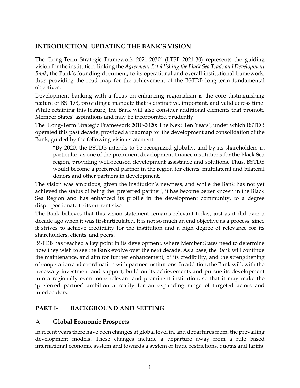#### <span id="page-4-0"></span>**INTRODUCTION- UPDATING THE BANK'S VISION**

The 'Long-Term Strategic Framework 2021-2030' (LTSF 2021-30) represents the guiding vision for the institution, linking the *Agreement Establishing the Black Sea Trade and Development Bank*, the Bank's founding document, to its operational and overall institutional framework, thus providing the road map for the achievement of the BSTDB long-term fundamental objectives.

Development banking with a focus on enhancing regionalism is the core distinguishing feature of BSTDB, providing a mandate that is distinctive, important, and valid across time. While retaining this feature, the Bank will also consider additional elements that promote Member States' aspirations and may be incorporated prudently.

The 'Long-Term Strategic Framework 2010-2020: The Next Ten Years', under which BSTDB operated this past decade, provided a roadmap for the development and consolidation of the Bank, guided by the following vision statement:

"By 2020, the BSTDB intends to be recognized globally, and by its shareholders in particular, as one of the prominent development finance institutions for the Black Sea region, providing well-focused development assistance and solutions. Thus, BSTDB would become a preferred partner in the region for clients, multilateral and bilateral donors and other partners in development."

The vision was ambitious, given the institution's newness, and while the Bank has not yet achieved the status of being the 'preferred partner', it has become better known in the Black Sea Region and has enhanced its profile in the development community, to a degree disproportionate to its current size.

The Bank believes that this vision statement remains relevant today, just as it did over a decade ago when it was first articulated. It is not so much an end objective as a process, since it strives to achieve credibility for the institution and a high degree of relevance for its shareholders, clients, and peers.

BSTDB has reached a key point in its development, where Member States need to determine how they wish to see the Bank evolve over the next decade. As a base, the Bank will continue the maintenance, and aim for further enhancement, of its credibility, and the strengthening of cooperation and coordination with partner institutions. In addition, the Bank will, with the necessary investment and support, build on its achievements and pursue its development into a regionally even more relevant and prominent institution, so that it may make the 'preferred partner' ambition a reality for an expanding range of targeted actors and interlocutors.

### <span id="page-4-1"></span>**PART I- BACKGROUND AND SETTING**

#### <span id="page-4-2"></span>А. **Global Economic Prospects**

In recent years there have been changes at global level in, and departures from, the prevailing development models. These changes include a departure away from a rule based international economic system and towards a system of trade restrictions, quotas and tariffs;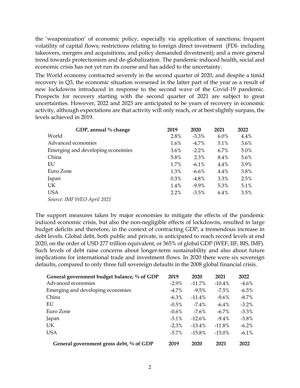the 'weaponization' of economic policy, especially via application of sanctions; frequent volatility of capital flows; restrictions relating to foreign direct investment (FDI- including takeovers, mergers and acquisitions, and policy demanded divestment); and a more general trend towards protectionism and de-globalization. The pandemic induced health, social and economic crisis has not yet run its course and has added to the uncertainty.

The World economy contracted severely in the second quarter of 2020, and despite a timid recovery in Q3, the economic situation worsened in the latter part of the year as a result of new lockdowns introduced in response to the second wave of the Covid-19 pandemic. Prospects for recovery starting with the second quarter of 2021 are subject to great uncertainties. However, 2022 and 2023 are anticipated to be years of recovery in economic activity, although expectations are that activity will only reach, or at best slightly surpass, the levels achieved in 2019.

| GDP, annual % change              | 2019    | 2020     | 2021    | 2022    |
|-----------------------------------|---------|----------|---------|---------|
| World                             | 2.8%    | $-3.3\%$ | $6.0\%$ | $4.4\%$ |
| Advanced economies                | $1.6\%$ | $-4.7\%$ | $5.1\%$ | $3.6\%$ |
| Emerging and developing economies | $3.6\%$ | $-2.2%$  | 6.7%    | 5.0%    |
| China                             | 5.8%    | 2.3%     | 8.4%    | $5.6\%$ |
| EU                                | $1.7\%$ | $-6.1\%$ | 4.4%    | 3.9%    |
| Euro Zone                         | 1.3%    | $-6.6\%$ | 4.4%    | 3.8%    |
| Japan                             | $0.3\%$ | $-4.8\%$ | 3.3%    | 2.5%    |
| <b>UK</b>                         | $1.4\%$ | $-9.9\%$ | 5.3%    | 5.1%    |
| <b>USA</b>                        | $2.2\%$ | $-3.5%$  | $6.4\%$ | 3.5%    |
| Source: IMF WEO April 2021        |         |          |         |         |

The support measures taken by major economies to mitigate the effects of the pandemic induced economic crisis, but also the non-negligible effects of lockdowns, resulted in large budget deficits and therefore, in the context of contracting GDP, a tremendous increase in debt levels. Global debt, both public and private, is anticipated to reach record levels at end 2020, on the order of USD 277 trillion equivalent, or 365% of global GDP (WEF, IIF, BIS, IMF). Such levels of debt raise concerns about longer-term sustainability and also about future implications for international trade and investment flows. In 2020 there were six sovereign defaults, compared to only three full sovereign defaults in the 2008 global financial crisis.

| General government budget balance, % of GDP | 2019     | 2020      | 2021      | 2022     |
|---------------------------------------------|----------|-----------|-----------|----------|
| Advanced economies                          | $-2.9\%$ | $-11.7\%$ | $-10.4\%$ | $-4.6\%$ |
| Emerging and developing economies           | $-4.7\%$ | $-9.5\%$  | $-7.5\%$  | $-6.5\%$ |
| China                                       | $-6.3\%$ | $-11.4\%$ | $-9.6\%$  | $-8.7\%$ |
| EU                                          | $-0.5\%$ | $-7.4\%$  | $-6.4\%$  | $-3.2\%$ |
| Euro Zone                                   | $-0.6\%$ | $-7.6\%$  | $-6.7\%$  | $-3.3\%$ |
| Japan                                       | $-3.1\%$ | $-12.6\%$ | $-9.4\%$  | $-3.8\%$ |
| <b>UK</b>                                   | $-2.3\%$ | $-13.4\%$ | $-11.8\%$ | $-6.2\%$ |
| <b>USA</b>                                  | $-5.7\%$ | $-15.8\%$ | $-15.0\%$ | $-6.1\%$ |
| General government gross debt, % of GDP     | 2019     | 2020      | 2021      | 2022     |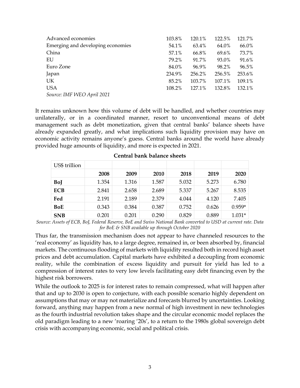| Advanced economies                | 103.8% | 120.1% | 122.5% | 121.7% |
|-----------------------------------|--------|--------|--------|--------|
| Emerging and developing economies | 54.1%  | 63.4%  | 64.0%  | 66.0%  |
| China                             | 57.1%  | 66.8%  | 69.6%  | 73.7%  |
| EU                                | 79.2%  | 91.7%  | 93.0%  | 91.6%  |
| Euro Zone                         | 84.0%  | 96.9%  | 98.2%  | 96.5%  |
| Japan                             | 234.9% | 256.2% | 256.5% | 253.6% |
| UK                                | 85.2%  | 103.7% | 107.1% | 109.1% |
| <b>USA</b>                        | 108.2% | 127.1% | 132.8% | 132.1% |
| Source: IMF WEO April 2021        |        |        |        |        |

It remains unknown how this volume of debt will be handled, and whether countries may unilaterally, or in a coordinated manner, resort to unconventional means of debt management such as debt monetization, given that central banks' balance sheets have already expanded greatly, and what implications such liquidity provision may have on economic activity remains anyone's guess. Central banks around the world have already provided huge amounts of liquidity, and more is expected in 2021.

| US\$ trillion |       |       |       |       |       |          |
|---------------|-------|-------|-------|-------|-------|----------|
|               | 2008  | 2009  | 2010  | 2018  | 2019  | 2020     |
| BoJ           | 1.354 | 1.316 | 1.587 | 5.032 | 5.273 | 6.780    |
| <b>ECB</b>    | 2.841 | 2.658 | 2.689 | 5.337 | 5.267 | 8.535    |
| Fed           | 2.191 | 2.189 | 2.379 | 4.044 | 4.120 | 7.405    |
| <b>BoE</b>    | 0.343 | 0.384 | 0.387 | 0.752 | 0.626 | $0.959*$ |
| <b>SNB</b>    | 0.201 | 0.201 | 0.290 | 0.829 | 0.889 | $1.031*$ |

**Central bank balance sheets**

*Source: Assets of ECB, BoJ, Federal Reserve, BoE and Swiss National Bank converted to USD at current rate. Data for BoE & SNB available up through October 2020*

Thus far, the transmission mechanism does not appear to have channeled resources to the 'real economy' as liquidity has, to a large degree, remained in, or been absorbed by, financial markets. The continuous flooding of markets with liquidity resulted both in record high asset prices and debt accumulation. Capital markets have exhibited a decoupling from economic reality, while the combination of excess liquidity and pursuit for yield has led to a compression of interest rates to very low levels facilitating easy debt financing even by the highest risk borrowers.

While the outlook to 2025 is for interest rates to remain compressed, what will happen after that and up to 2030 is open to conjecture, with each possible scenario highly dependent on assumptions that may or may not materialize and forecasts blurred by uncertainties. Looking forward, anything may happen from a new normal of high investment in new technologies as the fourth industrial revolution takes shape and the circular economic model replaces the old paradigm leading to a new 'roaring '20s', to a return to the 1980s global sovereign debt crisis with accompanying economic, social and political crisis.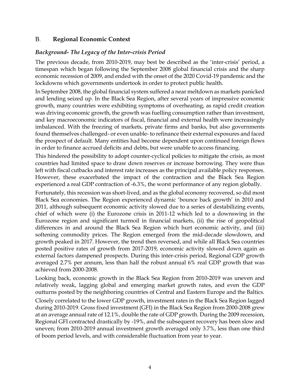#### <span id="page-7-0"></span>B. **Regional Economic Context**

#### <span id="page-7-1"></span>*Background- The Legacy of the Inter-crisis Period*

The previous decade, from 2010-2019, may best be described as the 'inter-crisis' period, a timespan which began following the September 2008 global financial crisis and the sharp economic recession of 2009, and ended with the onset of the 2020 Covid-19 pandemic and the lockdowns which governments undertook in order to protect public health.

In September 2008, the global financial system suffered a near meltdown as markets panicked and lending seized up. In the Black Sea Region, after several years of impressive economic growth, many countries were exhibiting symptoms of overheating, as rapid credit creation was driving economic growth, the growth was fuelling consumption rather than investment, and key macroeconomic indicators of fiscal, financial and external health were increasingly imbalanced. With the freezing of markets, private firms and banks, but also governments found themselves challenged- or even unable- to refinance their external exposures and faced the prospect of default. Many entities had become dependent upon continued foreign flows in order to finance accrued deficits and debts, but were unable to access financing.

This hindered the possibility to adopt counter-cyclical policies to mitigate the crisis, as most countries had limited space to draw down reserves or increase borrowing. They were thus left with fiscal cutbacks and interest rate increases as the principal available policy responses. However, these exacerbated the impact of the contraction and the Black Sea Region experienced a real GDP contraction of -6.3%, the worst performance of any region globally.

Fortunately, this recession was short-lived, and as the global economy recovered, so did most Black Sea economies. The Region experienced dynamic 'bounce back growth' in 2010 and 2011, although subsequent economic activity slowed due to a series of destabilizing events, chief of which were (i) the Eurozone crisis in 2011-12 which led to a downswing in the Eurozone region and significant turmoil in financial markets, (ii) the rise of geopolitical differences in and around the Black Sea Region which hurt economic activity, and (iii) softening commodity prices. The Region emerged from the mid-decade slowdown, and growth peaked in 2017. However, the trend then reversed, and while all Black Sea countries posted positive rates of growth from 2017-2019, economic activity slowed down again as external factors dampened prospects. During this inter-crisis period, Regional GDP growth averaged 2.7% per annum, less than half the robust annual 6% real GDP growth that was achieved from 2000-2008.

Looking back, economic growth in the Black Sea Region from 2010-2019 was uneven and relatively weak, lagging global and emerging market growth rates, and even the GDP outturns posted by the neighboring countries of Central and Eastern Europe and the Baltics. Closely correlated to the lower GDP growth, investment rates in the Black Sea Region lagged during 2010-2019. Gross fixed investment (GFI) in the Black Sea Region from 2000-2008 grew at an average annual rate of 12.1%, double the rate of GDP growth. During the 2009 recession, Regional GFI contracted drastically by -19%, and the subsequent recovery has been slow and uneven; from 2010-2019 annual investment growth averaged only 3.7%, less than one third of boom period levels, and with considerable fluctuation from year to year.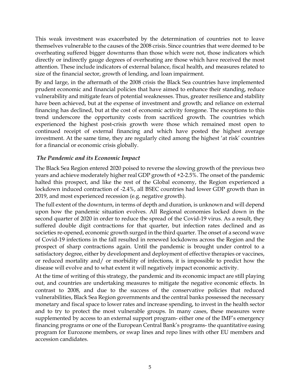This weak investment was exacerbated by the determination of countries not to leave themselves vulnerable to the causes of the 2008 crisis. Since countries that were deemed to be overheating suffered bigger downturns than those which were not, those indicators which directly or indirectly gauge degrees of overheating are those which have received the most attention. These include indicators of external balance, fiscal health, and measures related to size of the financial sector, growth of lending, and loan impairment.

By and large, in the aftermath of the 2008 crisis the Black Sea countries have implemented prudent economic and financial policies that have aimed to enhance their standing, reduce vulnerability and mitigate fears of potential weaknesses. Thus, greater resilience and stability have been achieved, but at the expense of investment and growth; and reliance on external financing has declined, but at the cost of economic activity foregone. The exceptions to this trend underscore the opportunity costs from sacrificed growth. The countries which experienced the highest post-crisis growth were those which remained most open to continued receipt of external financing and which have posted the highest average investment. At the same time, they are regularly cited among the highest 'at risk' countries for a financial or economic crisis globally.

#### <span id="page-8-0"></span>*The Pandemic and its Economic Impact*

The Black Sea Region entered 2020 poised to reverse the slowing growth of the previous two years and achieve moderately higher real GDP growth of +2-2.5%. The onset of the pandemic halted this prospect, and like the rest of the Global economy, the Region experienced a lockdown induced contraction of -2.4%, all BSEC countries had lower GDP growth than in 2019, and most experienced recession (e.g. negative growth).

The full extent of the downturn, in terms of depth and duration, is unknown and will depend upon how the pandemic situation evolves. All Regional economies locked down in the second quarter of 2020 in order to reduce the spread of the Covid-19 virus. As a result, they suffered double digit contractions for that quarter, but infection rates declined and as societies re-opened, economic growth surged in the third quarter. The onset of a second wave of Covid-19 infections in the fall resulted in renewed lockdowns across the Region and the prospect of sharp contractions again. Until the pandemic is brought under control to a satisfactory degree, either by development and deployment of effective therapies or vaccines, or reduced mortality and/ or morbidity of infections, it is impossible to predict how the disease will evolve and to what extent it will negatively impact economic activity.

At the time of writing of this strategy, the pandemic and its economic impact are still playing out, and countries are undertaking measures to mitigate the negative economic effects. In contrast to 2008, and due to the success of the conservative policies that reduced vulnerabilities, Black Sea Region governments and the central banks possessed the necessary monetary and fiscal space to lower rates and increase spending, to invest in the health sector and to try to protect the most vulnerable groups. In many cases, these measures were supplemented by access to an external support program- either one of the IMF's emergency financing programs or one of the European Central Bank's programs- the quantitative easing program for Eurozone members, or swap lines and repo lines with other EU members and accession candidates.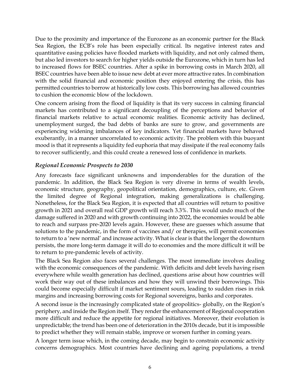Due to the proximity and importance of the Eurozone as an economic partner for the Black Sea Region, the ECB's role has been especially critical. Its negative interest rates and quantitative easing policies have flooded markets with liquidity, and not only calmed them, but also led investors to search for higher yields outside the Eurozone, which in turn has led to increased flows for BSEC countries. After a spike in borrowing costs in March 2020, all BSEC countries have been able to issue new debt at ever more attractive rates. In combination with the solid financial and economic position they enjoyed entering the crisis, this has permitted countries to borrow at historically low costs. This borrowing has allowed countries to cushion the economic blow of the lockdown.

One concern arising from the flood of liquidity is that its very success in calming financial markets has contributed to a significant decoupling of the perceptions and behavior of financial markets relative to actual economic realities. Economic activity has declined, unemployment surged, the bad debts of banks are sure to grow, and governments are experiencing widening imbalances of key indicators. Yet financial markets have behaved exuberantly, in a manner uncorrelated to economic activity. The problem with this buoyant mood is that it represents a liquidity fed euphoria that may dissipate if the real economy fails to recover sufficiently, and this could create a renewed loss of confidence in markets.

#### <span id="page-9-0"></span>*Regional Economic Prospects to 2030*

Any forecasts face significant unknowns and imponderables for the duration of the pandemic. In addition, the Black Sea Region is very diverse in terms of wealth levels, economic structure, geography, geopolitical orientation, demographics, culture, etc. Given the limited degree of Regional integration, making generalizations is challenging. Nonetheless, for the Black Sea Region, it is expected that all countries will return to positive growth in 2021 and overall real GDP growth will reach 3.3%. This would undo much of the damage suffered in 2020 and with growth continuing into 2022, the economies would be able to reach and surpass pre-2020 levels again. However, these are guesses which assume that solutions to the pandemic, in the form of vaccines and/ or therapies, will permit economies to return to a 'new normal' and increase activity. What is clear is that the longer the downturn persists, the more long-term damage it will do to economies and the more difficult it will be to return to pre-pandemic levels of activity.

The Black Sea Region also faces several challenges. The most immediate involves dealing with the economic consequences of the pandemic. With deficits and debt levels having risen everywhere while wealth generation has declined, questions arise about how countries will work their way out of these imbalances and how they will unwind their borrowings. This could become especially difficult if market sentiment sours, leading to sudden rises in risk margins and increasing borrowing costs for Regional sovereigns, banks and corporates.

A second issue is the increasingly complicated state of geopolitics- globally, on the Region's periphery, and inside the Region itself. They render the enhancement of Regional cooperation more difficult and reduce the appetite for regional initiatives. Moreover, their evolution is unpredictable; the trend has been one of deterioration in the 2010s decade, but it is impossible to predict whether they will remain stable, improve or worsen further in coming years.

A longer term issue which, in the coming decade, may begin to constrain economic activity concerns demographics. Most countries have declining and ageing populations, a trend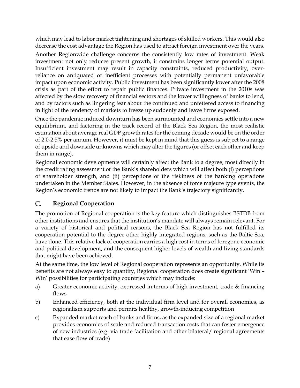which may lead to labor market tightening and shortages of skilled workers. This would also decrease the cost advantage the Region has used to attract foreign investment over the years.

Another Regionwide challenge concerns the consistently low rates of investment. Weak investment not only reduces present growth, it constrains longer terms potential output. Insufficient investment may result in capacity constraints, reduced productivity, overreliance on antiquated or inefficient processes with potentially permanent unfavorable impact upon economic activity. Public investment has been significantly lower after the 2008 crisis as part of the effort to repair public finances. Private investment in the 2010s was affected by the slow recovery of financial sectors and the lower willingness of banks to lend, and by factors such as lingering fear about the continued and unfettered access to financing in light of the tendency of markets to freeze up suddenly and leave firms exposed.

Once the pandemic induced downturn has been surmounted and economies settle into a new equilibrium, and factoring in the track record of the Black Sea Region, the most realistic estimation about average real GDP growth rates for the coming decade would be on the order of 2.0-2.5% per annum. However, it must be kept in mind that this guess is subject to a range of upside and downside unknowns which may alter the figures (or offset each other and keep them in range).

Regional economic developments will certainly affect the Bank to a degree, most directly in the credit rating assessment of the Bank's shareholders which will affect both (i) perceptions of shareholder strength, and (ii) perceptions of the riskiness of the banking operations undertaken in the Member States. However, in the absence of force majeure type events, the Region's economic trends are not likely to impact the Bank's trajectory significantly.

#### <span id="page-10-0"></span>C. **Regional Cooperation**

The promotion of Regional cooperation is the key feature which distinguishes BSTDB from other institutions and ensures that the institution's mandate will always remain relevant. For a variety of historical and political reasons, the Black Sea Region has not fulfilled its cooperation potential to the degree other highly integrated regions, such as the Baltic Sea, have done. This relative lack of cooperation carries a high cost in terms of foregone economic and political development, and the consequent higher levels of wealth and living standards that might have been achieved.

At the same time, the low level of Regional cooperation represents an opportunity. While its benefits are not always easy to quantify, Regional cooperation does create significant 'Win – Win' possibilities for participating countries which may include:

- a) Greater economic activity, expressed in terms of high investment, trade & financing flows
- b) Enhanced efficiency, both at the individual firm level and for overall economies, as regionalism supports and permits healthy, growth-inducing competition
- c) Expanded market reach of banks and firms, as the expanded size of a regional market provides economies of scale and reduced transaction costs that can foster emergence of new industries (e.g. via trade facilitation and other bilateral/ regional agreements that ease flow of trade)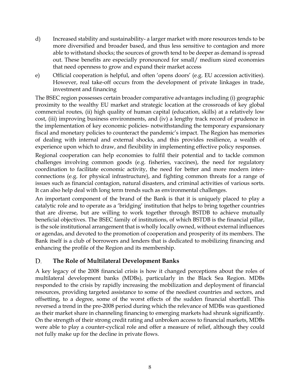- d) Increased stability and sustainability- a larger market with more resources tends to be more diversified and broader based, and thus less sensitive to contagion and more able to withstand shocks; the sources of growth tend to be deeper as demand is spread out. These benefits are especially pronounced for small/ medium sized economies that need openness to grow and expand their market access
- e) Official cooperation is helpful, and often 'opens doors' (e.g. EU accession activities). However, real take-off occurs from the development of private linkages in trade, investment and financing

The BSEC region possesses certain broader comparative advantages including (i) geographic proximity to the wealthy EU market and strategic location at the crossroads of key global commercial routes, (ii) high quality of human capital (education, skills) at a relatively low cost, (iii) improving business environments, and (iv) a lengthy track record of prudence in the implementation of key economic policies- notwithstanding the temporary expansionary fiscal and monetary policies to counteract the pandemic's impact. The Region has memories of dealing with internal and external shocks, and this provides resilience, a wealth of experience upon which to draw, and flexibility in implementing effective policy responses.

Regional cooperation can help economies to fulfil their potential and to tackle common challenges involving common goods (e.g. fisheries, vaccines), the need for regulatory coordination to facilitate economic activity, the need for better and more modern interconnections (e.g. for physical infrastructure), and fighting common threats for a range of issues such as financial contagion, natural disasters, and criminal activities of various sorts. It can also help deal with long term trends such as environmental challenges.

An important component of the brand of the Bank is that it is uniquely placed to play a catalytic role and to operate as a 'bridging' institution that helps to bring together countries that are diverse, but are willing to work together through BSTDB to achieve mutually beneficial objectives. The BSEC family of institutions, of which BSTDB is the financial pillar, is the sole institutional arrangement that is wholly locally owned, without external influences or agendas, and devoted to the promotion of cooperation and prosperity of its members. The Bank itself is a club of borrowers and lenders that is dedicated to mobilizing financing and enhancing the profile of the Region and its membership.

#### <span id="page-11-0"></span>D. **The Role of Multilateral Development Banks**

A key legacy of the 2008 financial crisis is how it changed perceptions about the roles of multilateral development banks (MDBs), particularly in the Black Sea Region. MDBs responded to the crisis by rapidly increasing the mobilization and deployment of financial resources, providing targeted assistance to some of the neediest countries and sectors, and offsetting, to a degree, some of the worst effects of the sudden financial shortfall. This reversed a trend in the pre-2008 period during which the relevance of MDBs was questioned as their market share in channeling financing to emerging markets had shrunk significantly. On the strength of their strong credit rating and unbroken access to financial markets, MDBs were able to play a counter-cyclical role and offer a measure of relief, although they could not fully make up for the decline in private flows.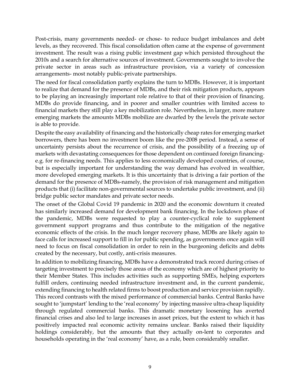Post-crisis, many governments needed- or chose- to reduce budget imbalances and debt levels, as they recovered. This fiscal consolidation often came at the expense of government investment. The result was a rising public investment gap which persisted throughout the 2010s and a search for alternative sources of investment. Governments sought to involve the private sector in areas such as infrastructure provision, via a variety of concession arrangements- most notably public-private partnerships.

The need for fiscal consolidation partly explains the turn to MDBs. However, it is important to realize that demand for the presence of MDBs, and their risk mitigation products, appears to be playing an increasingly important role relative to that of their provision of financing. MDBs do provide financing, and in poorer and smaller countries with limited access to financial markets they still play a key mobilization role. Nevertheless, in larger, more mature emerging markets the amounts MDBs mobilize are dwarfed by the levels the private sector is able to provide.

Despite the easy availability of financing and the historically cheap rates for emerging market borrowers, there has been no investment boom like the pre-2008 period. Instead, a sense of uncertainty persists about the recurrence of crisis, and the possibility of a freezing up of markets with devastating consequences for those dependent on continued foreign financinge.g. for re-financing needs. This applies to less economically developed countries, of course, but is especially important for understanding the way demand has evolved in wealthier, more developed emerging markets. It is this uncertainty that is driving a fair portion of the demand for the presence of MDBs-namely, the provision of risk management and mitigation products that (i) facilitate non-governmental sources to undertake public investment, and (ii) bridge public sector mandates and private sector needs.

The onset of the Global Covid 19 pandemic in 2020 and the economic downturn it created has similarly increased demand for development bank financing. In the lockdown phase of the pandemic, MDBs were requested to play a counter-cyclical role to supplement government support programs and thus contribute to the mitigation of the negative economic effects of the crisis. In the much longer recovery phase, MDBs are likely again to face calls for increased support to fill in for public spending, as governments once again will need to focus on fiscal consolidation in order to rein in the burgeoning deficits and debts created by the necessary, but costly, anti-crisis measures.

In addition to mobilizing financing, MDBs have a demonstrated track record during crises of targeting investment to precisely those areas of the economy which are of highest priority to their Member States. This includes activities such as supporting SMEs, helping exporters fulfill orders, continuing needed infrastructure investment and, in the current pandemic, extending financing to health related firms to boost production and service provision rapidly. This record contrasts with the mixed performance of commercial banks. Central Banks have sought to 'jumpstart' lending to the 'real economy' by injecting massive ultra-cheap liquidity through regulated commercial banks. This dramatic monetary loosening has averted financial crises and also led to large increases in asset prices, but the extent to which it has positively impacted real economic activity remains unclear. Banks raised their liquidity holdings considerably, but the amounts that they actually on-lent to corporates and households operating in the 'real economy' have, as a rule, been considerably smaller.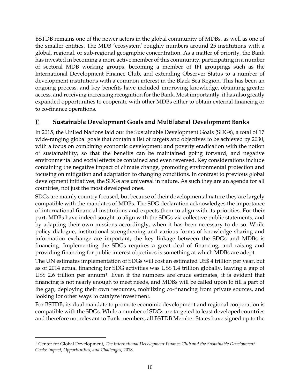BSTDB remains one of the newer actors in the global community of MDBs, as well as one of the smaller entities. The MDB 'ecosystem' roughly numbers around 25 institutions with a global, regional, or sub-regional geographic concentration. As a matter of priority, the Bank has invested in becoming a more active member of this community, participating in a number of sectoral MDB working groups, becoming a member of IFI groupings such as the International Development Finance Club, and extending Observer Status to a number of development institutions with a common interest in the Black Sea Region. This has been an ongoing process, and key benefits have included improving knowledge, obtaining greater access, and receiving increasing recognition for the Bank. Most importantly, it has also greatly expanded opportunities to cooperate with other MDBs either to obtain external financing or to co-finance operations.

#### <span id="page-13-0"></span>Е. **Sustainable Development Goals and Multilateral Development Banks**

In 2015, the United Nations laid out the Sustainable Development Goals (SDGs), a total of 17 wide-ranging global goals that contain a list of targets and objectives to be achieved by 2030, with a focus on combining economic development and poverty eradication with the notion of sustainability, so that the benefits can be maintained going forward, and negative environmental and social effects be contained and even reversed. Key considerations include containing the negative impact of climate change, promoting environmental protection and focusing on mitigation and adaptation to changing conditions. In contrast to previous global development initiatives, the SDGs are universal in nature. As such they are an agenda for all countries, not just the most developed ones.

SDGs are mainly country focused, but because of their developmental nature they are largely compatible with the mandates of MDBs. The SDG declaration acknowledges the importance of international financial institutions and expects them to align with its priorities. For their part, MDBs have indeed sought to align with the SDGs via collective public statements, and by adapting their own missions accordingly, when it has been necessary to do so. While policy dialogue, institutional strengthening and various forms of knowledge sharing and information exchange are important, the key linkage between the SDGs and MDBs is financing. Implementing the SDGs requires a great deal of financing, and raising and providing financing for public interest objectives is something at which MDBs are adept.

The UN estimates implementation of SDGs will cost an estimated US\$ 4 trillion per year, but as of 2014 actual financing for SDG activities was US\$ 1.4 trillion globally, leaving a gap of US\$ 2.6 trillion per annu[m1](#page-13-1). Even if the numbers are crude estimates, it is evident that financing is not nearly enough to meet needs, and MDBs will be called upon to fill a part of the gap, deploying their own resources, mobilizing co-financing from private sources, and looking for other ways to catalyze investment.

For BSTDB, its dual mandate to promote economic development and regional cooperation is compatible with the SDGs. While a number of SDGs are targeted to least developed countries and therefore not relevant to Bank members, all BSTDB Member States have signed up to the

<span id="page-13-1"></span><sup>1</sup> Center for Global Development, *The International Development Finance Club and the Sustainable Development Goals: Impact, Opportunities, and Challenges*, 2018.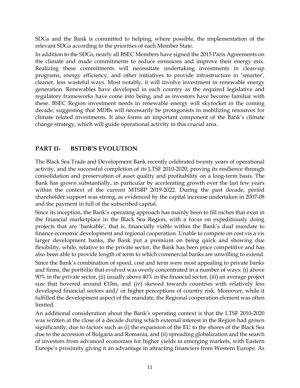SDGs and the Bank is committed to helping, where possible, the implementation of the relevant SDGs according to the priorities of each Member State.

In addition to the SDGs, nearly all BSEC Members have signed the 2015 Paris Agreements on the climate and made commitments to reduce emissions and improve their energy mix. Realizing these commitments will necessitate undertaking investments in clean-up programs, energy efficiency, and other initiatives to provide infrastructure in 'smarter', cleaner, less wasteful ways. Most notably, it will involve investment in renewable energy generation. Renewables have developed in each country as the required legislative and regulatory frameworks have come into being, and as investors have become familiar with these. BSEC Region investment needs in renewable energy will skyrocket in the coming decade, suggesting that MDBs will necessarily be protagonists in mobilizing resources for climate related investments. It also forms an important component of the Bank's climate change strategy, which will guide operational activity in this crucial area.

### <span id="page-14-0"></span>**PART II- BSTDB'S EVOLUTION**

The Black Sea Trade and Development Bank recently celebrated twenty years of operational activity, and the successful completion of its LTSF 2010-2020, proving its resilience through consolidation and preservation of asset quality and profitability on a long-term basis. The Bank has grown substantially, in particular by accelerating growth over the last few years within the context of the current MTSBP 2019-2022. During the past decade, period shareholder support was strong, as evidenced by the capital increase undertaken in 2007-08 and the payment in full of the subscribed capital.

Since its inception, the Bank's operating approach has mainly been to fill niches that exist in the financial marketplace in the Black Sea Region, with a focus on expeditiously doing projects that are 'bankable', that is, financially viable within the Bank's dual mandate to finance economic development and regional cooperation. Unable to compete on cost vis a vis larger development banks, the Bank put a premium on being quick and showing due flexibility, while, relative to the private sector, the Bank has been price competitive and has also been able to provide length of term to which commercial banks are unwilling to extend.

Since the Bank's combination of speed, cost and term were most appealing to private banks and firms, the portfolio that evolved was overly concentrated in a number of ways: (i) above 90% in the private sector, (ii) usually above 40% in the financial sector, (iii) an average project size that hovered around  $E10m$ , and (iv) skewed towards countries with relatively less developed financial sectors and/ or higher perceptions of country risk. Moreover, while it fulfilled the development aspect of the mandate, the Regional cooperation element was often limited.

An additional consideration about the Bank's operating context is that the LTSF 2010-2020 was written at the close of a decade during which external interest in the Region had grown significantly, due to factors such as (i) the expansion of the EU to the shores of the Black Sea due to the accession of Bulgaria and Romania, and (ii) spreading globalization and the search of investors from advanced economies for higher yields in emerging markets, with Eastern Europe's proximity giving it an advantage in attracting financiers from Western Europe. As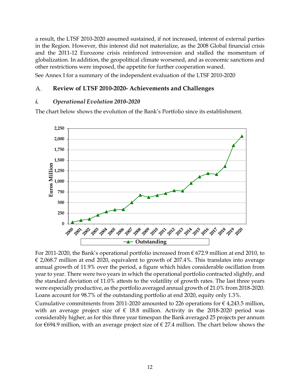a result, the LTSF 2010-2020 assumed sustained, if not increased, interest of external parties in the Region. However, this interest did not materialize, as the 2008 Global financial crisis and the 2011-12 Eurozone crisis reinforced introversion and stalled the momentum of globalization. In addition, the geopolitical climate worsened, and as economic sanctions and other restrictions were imposed, the appetite for further cooperation waned.

See Annex I for a summary of the independent evaluation of the LTSF 2010-2020

#### <span id="page-15-0"></span>A. **Review of LTSF 2010-2020- Achievements and Challenges**

#### <span id="page-15-1"></span>*i. Operational Evolution 2010-2020*

The chart below shows the evolution of the Bank's Portfolio since its establishment.



For 2011-2020, the Bank's operational portfolio increased from  $\epsilon$  672.9 million at end 2010, to  $\epsilon$  2,068.7 million at end 2020, equivalent to growth of 207.4%. This translates into average annual growth of 11.9% over the period, a figure which hides considerable oscillation from year to year. There were two years in which the operational portfolio contracted slightly, and the standard deviation of 11.0% attests to the volatility of growth rates. The last three years were especially productive, as the portfolio averaged annual growth of 21.0% from 2018-2020. Loans account for 98.7% of the outstanding portfolio at end 2020, equity only 1.3%.

Cumulative commitments from 2011-2020 amounted to 226 operations for  $\epsilon$  4,243.5 million, with an average project size of  $\epsilon$  18.8 million. Activity in the 2018-2020 period was considerably higher, as for this three year timespan the Bank averaged 25 projects per annum for €694.9 million, with an average project size of  $\epsilon$  27.4 million. The chart below shows the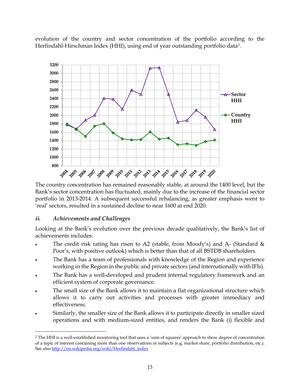evolution of the country and sector concentration of the portfolio according to the Herfindahl-Hirschman Index (HHI), using end of year outstanding portfolio data*[2](#page-16-1)*.



The country concentration has remained reasonably stable, at around the 1400 level, but the Bank's sector concentration has fluctuated, mainly due to the increase of the financial sector portfolio in 2013-2014. A subsequent successful rebalancing, as greater emphasis went to 'real' sectors, resulted in a sustained decline to near 1600 at end 2020.

#### <span id="page-16-0"></span>*ii. Achievements and Challenges*

Looking at the Bank's evolution over the previous decade qualitatively, the Bank's list of achievements includes:

- The credit risk rating has risen to A2 (stable, from Moody's) and A- (Standard  $\&$ Poor's, with positive outlook) which is better than that of all BSTDB shareholders.
- The Bank has a team of professionals with knowledge of the Region and experience working in the Region in the public and private sectors (and internationally with IFIs).
- The Bank has a well-developed and prudent internal regulatory framework and an efficient system of corporate governance.
- The small size of the Bank allows it to maintain a flat organizational structure which allows it to carry out activities and processes with greater immediacy and effectiveness.
- Similarly, the smaller size of the Bank allows it to participate directly in smaller sized operations and with medium-sized entities, and renders the Bank (i) flexible and

<span id="page-16-1"></span><sup>2</sup> The HHI is a well-established monitoring tool that uses a 'sum of squares' approach to show degree of concentration of a topic of interest containing more than one observations or subjects (e.g. market share, portfolio distribution, etc.). See als[o http://en.wikipedia.org/wiki/Herfindahl\\_index](http://en.wikipedia.org/wiki/Herfindahl_index)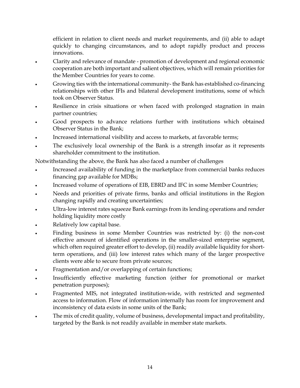efficient in relation to client needs and market requirements, and (ii) able to adapt quickly to changing circumstances, and to adopt rapidly product and process innovations.

- Clarity and relevance of mandate promotion of development and regional economic cooperation are both important and salient objectives, which will remain priorities for the Member Countries for years to come.
- Growing ties with the international community- the Bank has established co-financing relationships with other IFIs and bilateral development institutions, some of which took on Observer Status.
- Resilience in crisis situations or when faced with prolonged stagnation in main partner countries;
- Good prospects to advance relations further with institutions which obtained Observer Status in the Bank;
- Increased international visibility and access to markets, at favorable terms;
- The exclusively local ownership of the Bank is a strength insofar as it represents shareholder commitment to the institution.

Notwithstanding the above, the Bank has also faced a number of challenges

- Increased availability of funding in the marketplace from commercial banks reduces financing gap available for MDBs;
- Increased volume of operations of EIB, EBRD and IFC in some Member Countries;
- Needs and priorities of private firms, banks and official institutions in the Region changing rapidly and creating uncertainties;
- Ultra-low interest rates squeeze Bank earnings from its lending operations and render holding liquidity more costly
- Relatively low capital base.
- Finding business in some Member Countries was restricted by: (i) the non-cost effective amount of identified operations in the smaller-sized enterprise segment, which often required greater effort to develop, (ii) readily available liquidity for shortterm operations, and (iii) low interest rates which many of the larger prospective clients were able to secure from private sources;
- Fragmentation and/or overlapping of certain functions;
- Insufficiently effective marketing function (either for promotional or market penetration purposes);
- Fragmented MIS, not integrated institution-wide, with restricted and segmented access to information. Flow of information internally has room for improvement and inconsistency of data exists in some units of the Bank;
- The mix of credit quality, volume of business, developmental impact and profitability, targeted by the Bank is not readily available in member state markets.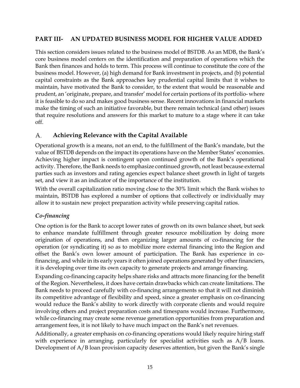#### <span id="page-18-0"></span>**PART III- AN UPDATED BUSINESS MODEL FOR HIGHER VALUE ADDED**

This section considers issues related to the business model of BSTDB. As an MDB, the Bank's core business model centers on the identification and preparation of operations which the Bank then finances and holds to term. This process will continue to constitute the core of the business model. However, (a) high demand for Bank investment in projects, and (b) potential capital constraints as the Bank approaches key prudential capital limits that it wishes to maintain, have motivated the Bank to consider, to the extent that would be reasonable and prudent, an 'originate, prepare, and transfer' model for certain portions of its portfolio- where it is feasible to do so and makes good business sense. Recent innovations in financial markets make the timing of such an initiative favorable, but there remain technical (and other) issues that require resolutions and answers for this market to mature to a stage where it can take off.

#### <span id="page-18-1"></span>А. **Achieving Relevance with the Capital Available**

Operational growth is a means, not an end, to the fulfillment of the Bank's mandate, but the value of BSTDB depends on the impact its operations have on the Member States' economies. Achieving higher impact is contingent upon continued growth of the Bank's operational activity. Therefore, the Bank needs to emphasize continued growth, not least because external parties such as investors and rating agencies expect balance sheet growth in light of targets set, and view it as an indicator of the importance of the institution.

With the overall capitalization ratio moving close to the 30% limit which the Bank wishes to maintain, BSTDB has explored a number of options that collectively or individually may allow it to sustain new project preparation activity while preserving capital ratios.

#### <span id="page-18-2"></span>*Co-financing*

One option is for the Bank to accept lower rates of growth on its own balance sheet, but seek to enhance mandate fulfillment through greater resource mobilization by doing more origination of operations, and then organizing larger amounts of co-financing for the operation (or syndicating it) so as to mobilize more external financing into the Region and offset the Bank's own lower amount of participation. The Bank has experience in cofinancing, and while in its early years it often joined operations generated by other financiers, it is developing over time its own capacity to generate projects and arrange financing.

Expanding co-financing capacity helps share risks and attracts more financing for the benefit of the Region. Nevertheless, it does have certain drawbacks which can create limitations. The Bank needs to proceed carefully with co-financing arrangements so that it will not diminish its competitive advantage of flexibility and speed, since a greater emphasis on co-financing would reduce the Bank's ability to work directly with corporate clients and would require involving others and project preparation costs and timespans would increase. Furthermore, while co-financing may create some revenue generation opportunities from preparation and arrangement fees, it is not likely to have much impact on the Bank's net revenues.

Additionally, a greater emphasis on co-financing operations would likely require hiring staff with experience in arranging, particularly for specialist activities such as A/B loans. Development of A/B loan provision capacity deserves attention, but given the Bank's single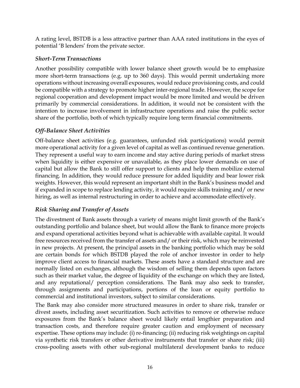A rating level, BSTDB is a less attractive partner than AAA rated institutions in the eyes of potential 'B lenders' from the private sector.

#### <span id="page-19-0"></span>*Short-Term Transactions*

Another possibility compatible with lower balance sheet growth would be to emphasize more short-term transactions (e.g. up to 360 days). This would permit undertaking more operations without increasing overall exposures, would reduce provisioning costs, and could be compatible with a strategy to promote higher inter-regional trade. However, the scope for regional cooperation and development impact would be more limited and would be driven primarily by commercial considerations. In addition, it would not be consistent with the intention to increase involvement in infrastructure operations and raise the public sector share of the portfolio, both of which typically require long term financial commitments.

#### <span id="page-19-1"></span>*Off-Balance Sheet Activities*

Off-balance sheet activities (e.g. guarantees, unfunded risk participations) would permit more operational activity for a given level of capital as well as continued revenue generation. They represent a useful way to earn income and stay active during periods of market stress when liquidity is either expensive or unavailable, as they place lower demands on use of capital but allow the Bank to still offer support to clients and help them mobilize external financing. In addition, they would reduce pressure for added liquidity and bear lower risk weights. However, this would represent an important shift in the Bank's business model and if expanded in scope to replace lending activity, it would require skills training and/ or new hiring, as well as internal restructuring in order to achieve and accommodate effectively.

#### <span id="page-19-2"></span>*Risk Sharing and Transfer of Assets*

The divestment of Bank assets through a variety of means might limit growth of the Bank's outstanding portfolio and balance sheet, but would allow the Bank to finance more projects and expand operational activities beyond what is achievable with available capital. It would free resources received from the transfer of assets and/ or their risk, which may be reinvested in new projects. At present, the principal assets in the banking portfolio which may be sold are certain bonds for which BSTDB played the role of anchor investor in order to help improve client access to financial markets. These assets have a standard structure and are normally listed on exchanges, although the wisdom of selling them depends upon factors such as their market value, the degree of liquidity of the exchange on which they are listed, and any reputational/ perception considerations. The Bank may also seek to transfer, through assignments and participations, portions of the loan or equity portfolio to commercial and institutional investors, subject to similar considerations.

The Bank may also consider more structured measures in order to share risk, transfer or divest assets, including asset securitization. Such activities to remove or otherwise reduce exposures from the Bank's balance sheet would likely entail lengthier preparation and transaction costs, and therefore require greater caution and employment of necessary expertise. These options may include: (i) re-financing; (ii) reducing risk weightings on capital via synthetic risk transfers or other derivative instruments that transfer or share risk; (iii) cross-pooling assets with other sub-regional multilateral development banks to reduce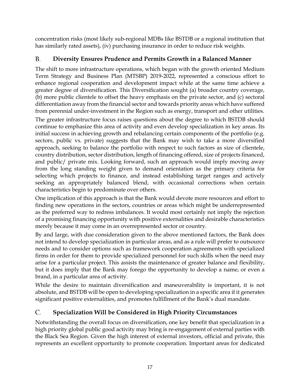concentration risks (most likely sub-regional MDBs like BSTDB or a regional institution that has similarly rated assets), (iv) purchasing insurance in order to reduce risk weights.

#### <span id="page-20-0"></span>B. **Diversity Ensures Prudence and Permits Growth in a Balanced Manner**

The shift to more infrastructure operations, which began with the growth oriented Medium Term Strategy and Business Plan (MTSBP) 2019-2022, represented a conscious effort to enhance regional cooperation and development impact while at the same time achieve a greater degree of diversification. This Diversification sought (a) broader country coverage, (b) more public clientele to offset the heavy emphasis on the private sector, and (c) sectoral differentiation away from the financial sector and towards priority areas which have suffered from perennial under-investment in the Region such as energy, transport and other utilities.

The greater infrastructure focus raises questions about the degree to which BSTDB should continue to emphasize this area of activity and even develop specialization in key areas. Its initial success in achieving growth and rebalancing certain components of the portfolio (e.g. sectors, public vs. private) suggests that the Bank may wish to take a more diversified approach, seeking to balance the portfolio with respect to such factors as size of clientele, country distribution, sector distribution, length of financing offered, size of projects financed, and public/ private mix. Looking forward, such an approach would imply moving away from the long standing weight given to demand orientation as the primary criteria for selecting which projects to finance, and instead establishing target ranges and actively seeking an appropriately balanced blend, with occasional corrections when certain characteristics begin to predominate over others.

One implication of this approach is that the Bank would devote more resources and effort to finding new operations in the sectors, countries or areas which might be underrepresented as the preferred way to redress imbalances. It would most certainly not imply the rejection of a promising financing opportunity with positive externalities and desirable characteristics merely because it may come in an overrepresented sector or country.

By and large, with due consideration given to the above mentioned factors, the Bank does not intend to develop specialization in particular areas, and as a rule will prefer to outsource needs and to consider options such as framework cooperation agreements with specialized firms in order for them to provide specialized personnel for such skills when the need may arise for a particular project. This assists the maintenance of greater balance and flexibility, but it does imply that the Bank may forego the opportunity to develop a name, or even a brand, in a particular area of activity.

While the desire to maintain diversification and maneuverability is important, it is not absolute, and BSTDB will be open to developing specialization in a specific area if it generates significant positive externalities, and promotes fulfillment of the Bank's dual mandate.

#### <span id="page-20-1"></span>C. **Specialization Will be Considered in High Priority Circumstances**

Notwithstanding the overall focus on diversification, one key benefit that specialization in a high priority global public good activity may bring is re-engagement of external parties with the Black Sea Region. Given the high interest of external investors, official and private, this represents an excellent opportunity to promote cooperation. Important areas for dedicated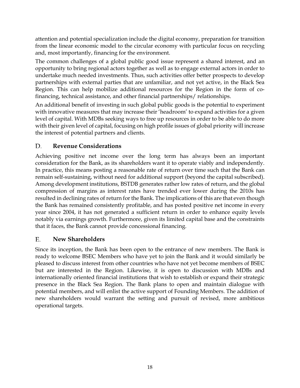attention and potential specialization include the digital economy, preparation for transition from the linear economic model to the circular economy with particular focus on recycling and, most importantly, financing for the environment.

The common challenges of a global public good issue represent a shared interest, and an opportunity to bring regional actors together as well as to engage external actors in order to undertake much needed investments. Thus, such activities offer better prospects to develop partnerships with external parties that are unfamiliar, and not yet active, in the Black Sea Region. This can help mobilize additional resources for the Region in the form of cofinancing, technical assistance, and other financial partnerships/ relationships.

An additional benefit of investing in such global public goods is the potential to experiment with innovative measures that may increase their 'headroom' to expand activities for a given level of capital. With MDBs seeking ways to free up resources in order to be able to do more with their given level of capital, focusing on high profile issues of global priority will increase the interest of potential partners and clients.

#### <span id="page-21-0"></span>D. **Revenue Considerations**

Achieving positive net income over the long term has always been an important consideration for the Bank, as its shareholders want it to operate viably and independently. In practice, this means posting a reasonable rate of return over time such that the Bank can remain self-sustaining, without need for additional support (beyond the capital subscribed). Among development institutions, BSTDB generates rather low rates of return, and the global compression of margins as interest rates have trended ever lower during the 2010s has resulted in declining rates of return for the Bank. The implications of this are that even though the Bank has remained consistently profitable, and has posted positive net income in every year since 2004, it has not generated a sufficient return in order to enhance equity levels notably via earnings growth. Furthermore, given its limited capital base and the constraints that it faces, the Bank cannot provide concessional financing.

#### <span id="page-21-1"></span>Е. **New Shareholders**

Since its inception, the Bank has been open to the entrance of new members. The Bank is ready to welcome BSEC Members who have yet to join the Bank and it would similarly be pleased to discuss interest from other countries who have not yet become members of BSEC but are interested in the Region. Likewise, it is open to discussion with MDBs and internationally oriented financial institutions that wish to establish or expand their strategic presence in the Black Sea Region. The Bank plans to open and maintain dialogue with potential members, and will enlist the active support of Founding Members. The addition of new shareholders would warrant the setting and pursuit of revised, more ambitious operational targets.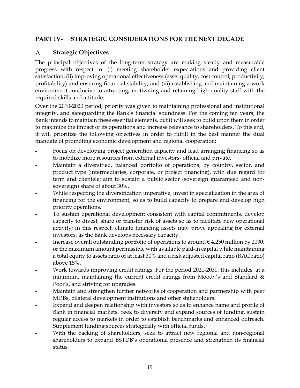### <span id="page-22-0"></span>**PART IV- STRATEGIC CONSIDERATIONS FOR THE NEXT DECADE**

#### <span id="page-22-1"></span>**Strategic Objectives** A.

The principal objectives of the long-term strategy are making steady and measurable progress with respect to: (i) meeting shareholder expectations and providing client satisfaction; (ii) improving operational effectiveness (asset quality, cost control, productivity, profitability) and ensuring financial stability; and (iii) establishing and maintaining a work environment conducive to attracting, motivating and retaining high quality staff with the required skills and attitude.

Over the 2010-2020 period, priority was given to maintaining professional and institutional integrity, and safeguarding the Bank's financial soundness. For the coming ten years, the Bank intends to maintain these essential elements, but it will seek to build upon them in order to maximize the impact of its operations and increase relevance to shareholders. To this end, it will prioritize the following objectives in order to fulfill in the best manner the dual mandate of promoting economic development and regional cooperation:

- Focus on developing project generation capacity and lead arranging financing so as to mobilize more resources from external investors- official and private.
- Maintain a diversified, balanced portfolio of operations, by country, sector, and product type (intermediaries, corporate, or project financing), with due regard for term and clientele; aim to sustain a public sector (sovereign guaranteed and nonsovereign) share of about 30%.
- While respecting the diversification imperative, invest in specialization in the area of financing for the environment, so as to build capacity to prepare and develop high priority operations.
- To sustain operational development consistent with capital commitments, develop capacity to divest, share or transfer risk of assets so as to facilitate new operational activity; in this respect, climate financing assets may prove appealing for external investors, as the Bank develops necessary capacity.
- Increase overall outstanding portfolio of operations to around  $\epsilon$  4,250 million by 2030, or the maximum amount permissible with available paid-in capital while maintaining a total equity to assets ratio of at least 30% and a risk adjusted capital ratio (RAC ratio) above 15%.
- Work towards improving credit ratings. For the period 2021-2030, this includes, at a minimum, maintaining the current credit ratings from Moody's and Standard & Poor's, and striving for upgrades.
- Maintain and strengthen further networks of cooperation and partnership with peer MDBs, bilateral development institutions and other stakeholders.
- Expand and deepen relationship with investors so as to enhance name and profile of Bank in financial markets. Seek to diversify and expand sources of funding, sustain regular access to markets in order to establish benchmarks and enhanced outreach. Supplement funding sources strategically with official funds.
- With the backing of shareholders, seek to attract new regional and non-regional shareholders to expand BSTDB's operational presence and strengthen its financial status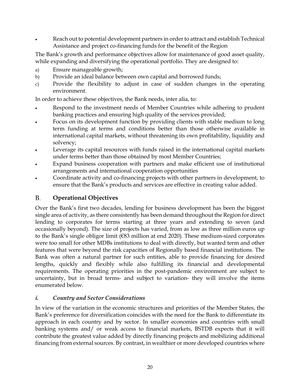• Reach out to potential development partners in order to attract and establish Technical Assistance and project co-financing funds for the benefit of the Region

The Bank's growth and performance objectives allow for maintenance of good asset quality, while expanding and diversifying the operational portfolio. They are designed to:

- a) Ensure manageable growth;
- b) Provide an ideal balance between own capital and borrowed funds;
- c) Provide the flexibility to adjust in case of sudden changes in the operating environment.

In order to achieve these objectives, the Bank needs, inter alia, to:

- Respond to the investment needs of Member Countries while adhering to prudent banking practices and ensuring high quality of the services provided;
- Focus on its development function by providing clients with stable medium to long term funding at terms and conditions better than those otherwise available in international capital markets, without threatening its own profitability, liquidity and solvency;
- Leverage its capital resources with funds raised in the international capital markets under terms better than those obtained by most Member Countries;
- Expand business cooperation with partners and make efficient use of institutional arrangements and international cooperation opportunities
- Coordinate activity and co-financing projects with other partners in development, to ensure that the Bank's products and services are effective in creating value added.

#### <span id="page-23-0"></span>В. **Operational Objectives**

Over the Bank's first two decades, lending for business development has been the biggest single area of activity, as there consistently has been demand throughout the Region for direct lending to corporates for terms starting at three years and extending to seven (and occasionally beyond). The size of projects has varied, from as low as three million euros up to the Bank's single obligor limit (€83 million at end 2020). These medium-sized corporates were too small for other MDBs institutions to deal with directly, but wanted term and other features that were beyond the risk capacities of Regionally based financial institutions. The Bank was often a natural partner for such entities, able to provide financing for desired lengths, quickly and flexibly while also fulfilling its financial and developmental requirements. The operating priorities in the post-pandemic environment are subject to uncertainty, but in broad terms- and subject to variation- they will involve the items enumerated below.

#### <span id="page-23-1"></span>*i. Country and Sector Considerations*

In view of the variation in the economic structures and priorities of the Member States, the Bank's preference for diversification coincides with the need for the Bank to differentiate its approach in each country and by sector. In smaller economies and countries with small banking systems and/ or weak access to financial markets, BSTDB expects that it will contribute the greatest value added by directly financing projects and mobilizing additional financing from external sources. By contrast, in wealthier or more developed countries where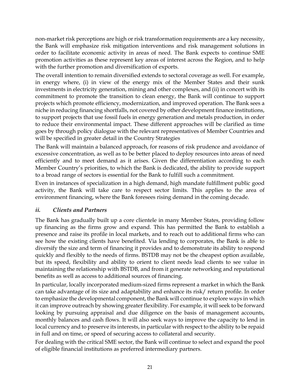non-market risk perceptions are high or risk transformation requirements are a key necessity, the Bank will emphasize risk mitigation interventions and risk management solutions in order to facilitate economic activity in areas of need. The Bank expects to continue SME promotion activities as these represent key areas of interest across the Region, and to help with the further promotion and diversification of exports.

The overall intention to remain diversified extends to sectoral coverage as well. For example, in energy where, (i) in view of the energy mix of the Member States and their sunk investments in electricity generation, mining and other complexes, and (ii) in concert with its commitment to promote the transition to clean energy, the Bank will continue to support projects which promote efficiency, modernization, and improved operation. The Bank sees a niche in reducing financing shortfalls, not covered by other development finance institutions, to support projects that use fossil fuels in energy generation and metals production, in order to reduce their environmental impact. These different approaches will be clarified as time goes by through policy dialogue with the relevant representatives of Member Countries and will be specified in greater detail in the Country Strategies

The Bank will maintain a balanced approach, for reasons of risk prudence and avoidance of excessive concentration, as well as to be better placed to deploy resources into areas of need efficiently and to meet demand as it arises. Given the differentiation according to each Member Country's priorities, to which the Bank is dedicated, the ability to provide support to a broad range of sectors is essential for the Bank to fulfill such a commitment.

Even in instances of specialization in a high demand, high mandate fulfillment public good activity, the Bank will take care to respect sector limits. This applies to the area of environment financing, where the Bank foresees rising demand in the coming decade.

#### <span id="page-24-0"></span>*ii. Clients and Partners*

The Bank has gradually built up a core clientele in many Member States, providing follow up financing as the firms grow and expand. This has permitted the Bank to establish a presence and raise its profile in local markets, and to reach out to additional firms who can see how the existing clients have benefited. Via lending to corporates, the Bank is able to diversify the size and term of financing it provides and to demonstrate its ability to respond quickly and flexibly to the needs of firms. BSTDB may not be the cheapest option available, but its speed, flexibility and ability to orient to client needs lead clients to see value in maintaining the relationship with BSTDB, and from it generate networking and reputational benefits as well as access to additional sources of financing.

In particular, locally incorporated medium-sized firms represent a market in which the Bank can take advantage of its size and adaptability and enhance its risk/ return profile. In order to emphasize the developmental component, the Bank will continue to explore ways in which it can improve outreach by showing greater flexibility. For example, it will seek to be forward looking by pursuing appraisal and due diligence on the basis of management accounts, monthly balances and cash flows. It will also seek ways to improve the capacity to lend in local currency and to preserve its interests, in particular with respect to the ability to be repaid in full and on time, or speed of securing access to collateral and security.

For dealing with the critical SME sector, the Bank will continue to select and expand the pool of eligible financial institutions as preferred intermediary partners.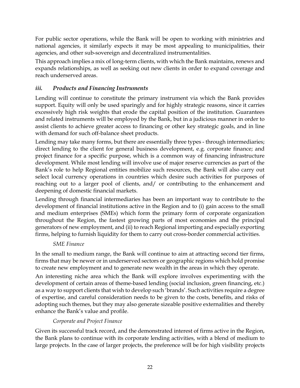For public sector operations, while the Bank will be open to working with ministries and national agencies, it similarly expects it may be most appealing to municipalities, their agencies, and other sub-sovereign and decentralized instrumentalities.

This approach implies a mix of long-term clients, with which the Bank maintains, renews and expands relationships, as well as seeking out new clients in order to expand coverage and reach underserved areas.

### <span id="page-25-0"></span>*iii. Products and Financing Instruments*

Lending will continue to constitute the primary instrument via which the Bank provides support. Equity will only be used sparingly and for highly strategic reasons, since it carries excessively high risk weights that erode the capital position of the institution. Guarantees and related instruments will be employed by the Bank, but in a judicious manner in order to assist clients to achieve greater access to financing or other key strategic goals, and in line with demand for such off-balance sheet products.

Lending may take many forms, but there are essentially three types - through intermediaries; direct lending to the client for general business development, e.g. corporate finance; and project finance for a specific purpose, which is a common way of financing infrastructure development. While most lending will involve use of major reserve currencies as part of the Bank's role to help Regional entities mobilize such resources, the Bank will also carry out select local currency operations in countries which desire such activities for purposes of reaching out to a larger pool of clients, and/ or contributing to the enhancement and deepening of domestic financial markets.

Lending through financial intermediaries has been an important way to contribute to the development of financial institutions active in the Region and to (i) gain access to the small and medium enterprises (SMEs) which form the primary form of corporate organization throughout the Region, the fastest growing parts of most economies and the principal generators of new employment, and (ii) to reach Regional importing and especially exporting firms, helping to furnish liquidity for them to carry out cross-border commercial activities.

#### *SME Finance*

<span id="page-25-1"></span>In the small to medium range, the Bank will continue to aim at attracting second tier firms, firms that may be newer or in underserved sectors or geographic regions which hold promise to create new employment and to generate new wealth in the areas in which they operate.

An interesting niche area which the Bank will explore involves experimenting with the development of certain areas of theme-based lending (social inclusion, green financing, etc.) as a way to support clients that wish to develop such 'brands'. Such activities require a degree of expertise, and careful consideration needs to be given to the costs, benefits, and risks of adopting such themes, but they may also generate sizeable positive externalities and thereby enhance the Bank's value and profile.

### *Corporate and Project Finance*

<span id="page-25-2"></span>Given its successful track record, and the demonstrated interest of firms active in the Region, the Bank plans to continue with its corporate lending activities, with a blend of medium to large projects. In the case of larger projects, the preference will be for high visibility projects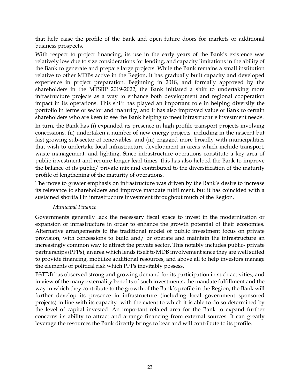that help raise the profile of the Bank and open future doors for markets or additional business prospects.

With respect to project financing, its use in the early years of the Bank's existence was relatively low due to size considerations for lending, and capacity limitations in the ability of the Bank to generate and prepare large projects. While the Bank remains a small institution relative to other MDBs active in the Region, it has gradually built capacity and developed experience in project preparation. Beginning in 2018, and formally approved by the shareholders in the MTSBP 2019-2022, the Bank initiated a shift to undertaking more infrastructure projects as a way to enhance both development and regional cooperation impact in its operations. This shift has played an important role in helping diversify the portfolio in terms of sector and maturity, and it has also improved value of Bank to certain shareholders who are keen to see the Bank helping to meet infrastructure investment needs.

In turn, the Bank has (i) expanded its presence in high profile transport projects involving concessions, (ii) undertaken a number of new energy projects, including in the nascent but fast growing sub-sector of renewables, and (iii) engaged more broadly with municipalities that wish to undertake local infrastructure development in areas which include transport, waste management, and lighting. Since infrastructure operations constitute a key area of public investment and require longer lead times, this has also helped the Bank to improve the balance of its public/ private mix and contributed to the diversification of the maturity profile of lengthening of the maturity of operations.

The move to greater emphasis on infrastructure was driven by the Bank's desire to increase its relevance to shareholders and improve mandate fulfillment, but it has coincided with a sustained shortfall in infrastructure investment throughout much of the Region.

#### *Municipal Finance*

<span id="page-26-0"></span>Governments generally lack the necessary fiscal space to invest in the modernization or expansion of infrastructure in order to enhance the growth potential of their economies. Alternative arrangements to the traditional model of public investment focus on private provision, with concessions to build and/ or operate and maintain the infrastructure an increasingly common way to attract the private sector. This notably includes public- private partnerships (PPPs), an area which lends itself to MDB involvement since they are well suited to provide financing, mobilize additional resources, and above all to help investors manage the elements of political risk which PPPs inevitably possess.

BSTDB has observed strong and growing demand for its participation in such activities, and in view of the many externality benefits of such investments, the mandate fulfillment and the way in which they contribute to the growth of the Bank's profile in the Region, the Bank will further develop its presence in infrastructure (including local government sponsored projects) in line with its capacity- with the extent to which it is able to do so determined by the level of capital invested. An important related area for the Bank to expand further concerns its ability to attract and arrange financing from external sources. It can greatly leverage the resources the Bank directly brings to bear and will contribute to its profile.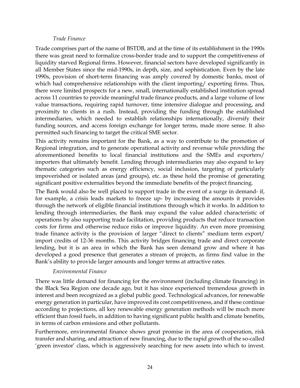#### *Trade Finance*

<span id="page-27-0"></span>Trade comprises part of the name of BSTDB, and at the time of its establishment in the 1990s there was great need to formalize cross-border trade and to support the competitiveness of liquidity starved Regional firms. However, financial sectors have developed significantly in all Member States since the mid-1990s, in depth, size, and sophistication. Even by the late 1990s, provision of short-term financing was amply covered by domestic banks, most of which had comprehensive relationships with the client importing/ exporting firms. Thus, there were limited prospects for a new, small, internationally established institution spread across 11 countries to provide meaningful trade finance products, and a large volume of low value transactions, requiring rapid turnover, time intensive dialogue and processing, and proximity to clients in a rush. Instead, providing the funding through the established intermediaries, which needed to establish relationships internationally, diversify their funding sources, and access foreign exchange for longer terms, made more sense. It also permitted such financing to target the critical SME sector.

This activity remains important for the Bank, as a way to contribute to the promotion of Regional integration, and to generate operational activity and revenue while providing the aforementioned benefits to local financial institutions and the SMEs and exporters/ importers that ultimately benefit. Lending through intermediaries may also expand to key thematic categories such as energy efficiency, social inclusion, targeting of particularly impoverished or isolated areas (and groups), etc. as these hold the promise of generating significant positive externalities beyond the immediate benefits of the project financing.

The Bank would also be well placed to support trade in the event of a surge in demand- if, for example, a crisis leads markets to freeze up- by increasing the amounts it provides through the network of eligible financial institutions through which it works. In addition to lending through intermediaries, the Bank may expand the value added characteristic of operations by also supporting trade facilitation, providing products that reduce transaction costs for firms and otherwise reduce risks or improve liquidity. An even more promising trade finance activity is the provision of larger "direct to clients" medium term export/ import credits of 12-36 months. This activity bridges financing trade and direct corporate lending, but it is an area in which the Bank has seen demand grow and where it has developed a good presence that generates a stream of projects, as firms find value in the Bank's ability to provide larger amounts and longer terms at attractive rates.

#### *Environmental Finance*

<span id="page-27-1"></span>There was little demand for financing for the environment (including climate financing) in the Black Sea Region one decade ago, but it has since experienced tremendous growth in interest and been recognized as a global public good. Technological advances, for renewable energy generation in particular, have improved its cost competitiveness, and if these continue according to projections, all key renewable energy generation methods will be much more efficient than fossil fuels, in addition to having significant public health and climate benefits, in terms of carbon emissions and other pollutants.

Furthermore, environmental finance shows great promise in the area of cooperation, risk transfer and sharing, and attraction of new financing, due to the rapid growth of the so-called 'green investor' class, which is aggressively searching for new assets into which to invest.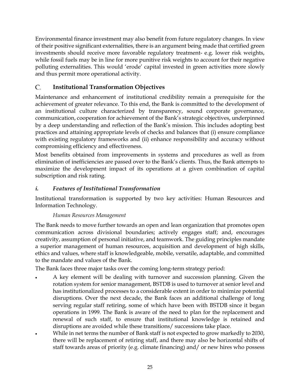Environmental finance investment may also benefit from future regulatory changes. In view of their positive significant externalities, there is an argument being made that certified green investments should receive more favorable regulatory treatment- e.g. lower risk weights, while fossil fuels may be in line for more punitive risk weights to account for their negative polluting externalities. This would 'erode' capital invested in green activities more slowly and thus permit more operational activity.

#### <span id="page-28-0"></span>C. **Institutional Transformation Objectives**

Maintenance and enhancement of institutional credibility remain a prerequisite for the achievement of greater relevance. To this end, the Bank is committed to the development of an institutional culture characterized by transparency, sound corporate governance, communication, cooperation for achievement of the Bank's strategic objectives, underpinned by a deep understanding and reflection of the Bank's mission. This includes adopting best practices and attaining appropriate levels of checks and balances that (i) ensure compliance with existing regulatory frameworks and (ii) enhance responsibility and accuracy without compromising efficiency and effectiveness.

Most benefits obtained from improvements in systems and procedures as well as from elimination of inefficiencies are passed over to the Bank's clients. Thus, the Bank attempts to maximize the development impact of its operations at a given combination of capital subscription and risk rating.

### <span id="page-28-1"></span>*i. Features of Institutional Transformation*

Institutional transformation is supported by two key activities: Human Resources and Information Technology.

### *Human Resources Management*

<span id="page-28-2"></span>The Bank needs to move further towards an open and lean organization that promotes open communication across divisional boundaries; actively engages staff; and, encourages creativity, assumption of personal initiative, and teamwork. The guiding principles mandate a superior management of human resources, acquisition and development of high skills, ethics and values, where staff is knowledgeable, mobile, versatile, adaptable, and committed to the mandate and values of the Bank.

The Bank faces three major tasks over the coming long-term strategy period:

- A key element will be dealing with turnover and succession planning. Given the rotation system for senior management, BSTDB is used to turnover at senior level and has institutionalized processes to a considerable extent in order to minimize potential disruptions. Over the next decade, the Bank faces an additional challenge of long serving regular staff retiring, some of which have been with BSTDB since it began operations in 1999. The Bank is aware of the need to plan for the replacement and renewal of such staff, to ensure that institutional knowledge is retained and disruptions are avoided while these transitions/ successions take place.
- While in net terms the number of Bank staff is not expected to grow markedly to 2030, there will be replacement of retiring staff, and there may also be horizontal shifts of staff towards areas of priority (e.g. climate financing) and/ or new hires who possess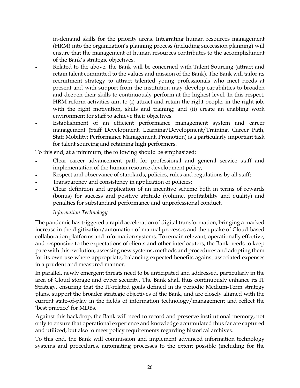in-demand skills for the priority areas. Integrating human resources management (HRM) into the organization's planning process (including succession planning) will ensure that the management of human resources contributes to the accomplishment of the Bank's strategic objectives.

- Related to the above, the Bank will be concerned with Talent Sourcing (attract and retain talent committed to the values and mission of the Bank). The Bank will tailor its recruitment strategy to attract talented young professionals who meet needs at present and with support from the institution may develop capabilities to broaden and deepen their skills to continuously perform at the highest level. In this respect, HRM reform activities aim to (i) attract and retain the right people, in the right job, with the right motivation, skills and training; and (ii) create an enabling work environment for staff to achieve their objectives.
- Establishment of an efficient performance management system and career management (Staff Development, Learning/Development/Training, Career Path, Staff Mobility; Performance Management, Promotion) is a particularly important task for talent sourcing and retaining high performers.

To this end, at a minimum, the following should be emphasized:

- Clear career advancement path for professional and general service staff and implementation of the human resource development policy;
- Respect and observance of standards, policies, rules and regulations by all staff;
- Transparency and consistency in application of policies;
- Clear definition and application of an incentive scheme both in terms of rewards (bonus) for success and positive attitude (volume, profitability and quality) and penalties for substandard performance and unprofessional conduct.

#### *Information Technology*

<span id="page-29-0"></span>The pandemic has triggered a rapid acceleration of digital transformation, bringing a marked increase in the digitization/automation of manual processes and the uptake of Cloud-based collaboration platforms and information systems. To remain relevant, operationally effective, and responsive to the expectations of clients and other interlocuters, the Bank needs to keep pace with this evolution, assessing new systems, methods and procedures and adopting them for its own use where appropriate, balancing expected benefits against associated expenses in a prudent and measured manner.

In parallel, newly emergent threats need to be anticipated and addressed, particularly in the area of Cloud storage and cyber security. The Bank shall thus continuously enhance its IT Strategy, ensuring that the IT-related goals defined in its periodic Medium-Term strategy plans, support the broader strategic objectives of the Bank, and are closely aligned with the current state-of-play in the fields of information technology/management and reflect the 'best practice' for MDBs.

Against this backdrop, the Bank will need to record and preserve institutional memory, not only to ensure that operational experience and knowledge accumulated thus far are captured and utilized, but also to meet policy requirements regarding historical archives.

To this end, the Bank will commission and implement advanced information technology systems and procedures, automating processes to the extent possible (including for the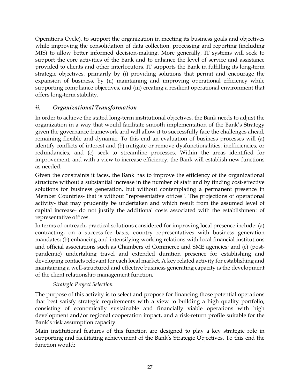Operations Cycle), to support the organization in meeting its business goals and objectives while improving the consolidation of data collection, processing and reporting (including MIS) to allow better informed decision-making. More generally, IT systems will seek to support the core activities of the Bank and to enhance the level of service and assistance provided to clients and other interlocutors. IT supports the Bank in fulfilling its long-term strategic objectives, primarily by (i) providing solutions that permit and encourage the expansion of business, by (ii) maintaining and improving operational efficiency while supporting compliance objectives, and (iii) creating a resilient operational environment that offers long-term stability.

#### <span id="page-30-0"></span>*ii. Organizational Transformation*

In order to achieve the stated long-term institutional objectives, the Bank needs to adjust the organization in a way that would facilitate smooth implementation of the Bank's Strategy given the governance framework and will allow it to successfully face the challenges ahead, remaining flexible and dynamic. To this end an evaluation of business processes will (a) identify conflicts of interest and (b) mitigate or remove dysfunctionalities, inefficiencies, or redundancies, and (c) seek to streamline processes. Within the areas identified for improvement, and with a view to increase efficiency, the Bank will establish new functions as needed.

Given the constraints it faces, the Bank has to improve the efficiency of the organizational structure without a substantial increase in the number of staff and by finding cost-effective solutions for business generation, but without contemplating a permanent presence in Member Countries- that is without "representative offices". The projections of operational activity- that may prudently be undertaken and which result from the assumed level of capital increase- do not justify the additional costs associated with the establishment of representative offices.

In terms of outreach, practical solutions considered for improving local presence include: (a) contracting, on a success-fee basis, country representatives with business generation mandates; (b) enhancing and intensifying working relations with local financial institutions and official associations such as Chambers of Commerce and SME agencies; and (c) (postpandemic) undertaking travel and extended duration presence for establishing and developing contacts relevant for each local market. A key related activity for establishing and maintaining a well-structured and effective business generating capacity is the development of the client relationship management function.

#### *Strategic Project Selection*

<span id="page-30-1"></span>The purpose of this activity is to select and propose for financing those potential operations that best satisfy strategic requirements with a view to building a high quality portfolio, consisting of economically sustainable and financially viable operations with high development and/or regional cooperation impact, and a risk-return profile suitable for the Bank's risk assumption capacity.

Main institutional features of this function are designed to play a key strategic role in supporting and facilitating achievement of the Bank's Strategic Objectives. To this end the function would: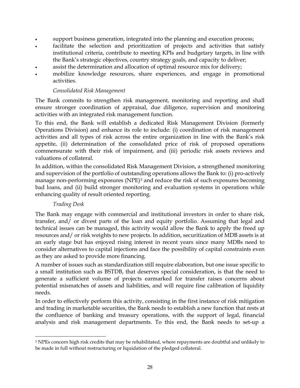- support business generation, integrated into the planning and execution process;
- facilitate the selection and prioritization of projects and activities that satisfy institutional criteria, contribute to meeting KPIs and budgetary targets, in line with the Bank's strategic objectives, country strategy goals, and capacity to deliver;
- assist the determination and allocation of optimal resource mix for delivery;
- mobilize knowledge resources, share experiences, and engage in promotional activities.

#### *Consolidated Risk Management*

<span id="page-31-0"></span>The Bank commits to strengthen risk management, monitoring and reporting and shall ensure stronger coordination of appraisal, due diligence, supervision and monitoring activities with an integrated risk management function.

To this end, the Bank will establish a dedicated Risk Management Division (formerly Operations Division) and enhance its role to include: (i) coordination of risk management activities and all types of risk across the entire organization in line with the Bank's risk appetite, (ii) determination of the consolidated price of risk of proposed operations commensurate with their risk of impairment, and (iii) periodic risk assets reviews and valuations of collateral.

In addition, within the consolidated Risk Management Division, a strengthened monitoring and supervision of the portfolio of outstanding operations allows the Bank to: (i) pro-actively manage non-performing exposures (NPE)<sup>[3](#page-31-2)</sup> and reduce the risk of such exposures becoming bad loans, and (ii) build stronger monitoring and evaluation systems in operations while enhancing quality of result oriented reporting.

#### *Trading Desk*

<span id="page-31-1"></span>The Bank may engage with commercial and institutional investors in order to share risk, transfer, and/ or divest parts of the loan and equity portfolio. Assuming that legal and technical issues can be managed, this activity would allow the Bank to apply the freed up resources and/ or risk weights to new projects. In addition, securitization of MDB assets is at an early stage but has enjoyed rising interest in recent years since many MDBs need to consider alternatives to capital injections and face the possibility of capital constraints even as they are asked to provide more financing.

A number of issues such as standardization still require elaboration, but one issue specific to a small institution such as BSTDB, that deserves special consideration, is that the need to generate a sufficient volume of projects earmarked for transfer raises concerns about potential mismatches of assets and liabilities, and will require fine calibration of liquidity needs.

In order to effectively perform this activity, consisting in the first instance of risk mitigation and trading in marketable securities, the Bank needs to establish a new function that rests at the confluence of banking and treasury operations, with the support of legal, financial analysis and risk management departments. To this end, the Bank needs to set-up a

<span id="page-31-2"></span><sup>&</sup>lt;sup>3</sup> NPEs concern high risk credits that may be rehabilitated, where repayments are doubtful and unlikely to be made in full without restructuring or liquidation of the pledged collateral.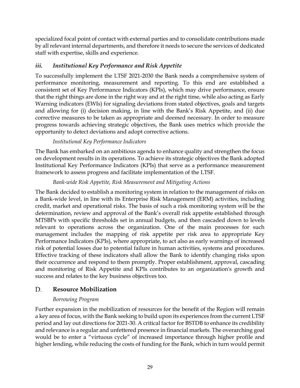specialized focal point of contact with external parties and to consolidate contributions made by all relevant internal departments, and therefore it needs to secure the services of dedicated staff with expertise, skills and experience.

### <span id="page-32-0"></span>*iii. Institutional Key Performance and Risk Appetite*

To successfully implement the LTSF 2021-2030 the Bank needs a comprehensive system of performance monitoring, measurement and reporting. To this end are established a consistent set of Key Performance Indicators (KPIs), which may drive performance, ensure that the right things are done in the right way and at the right time, while also acting as Early Warning indicators (EWIs) for signaling deviations from stated objectives, goals and targets and allowing for (i) decision making, in line with the Bank's Risk Appetite, and (ii) due corrective measures to be taken as appropriate and deemed necessary. In order to measure progress towards achieving strategic objectives, the Bank uses metrics which provide the opportunity to detect deviations and adopt corrective actions.

### *Institutional Key Performance Indicators*

<span id="page-32-1"></span>The Bank has embarked on an ambitious agenda to enhance quality and strengthen the focus on development results in its operations. To achieve its strategic objectives the Bank adopted Institutional Key Performance Indicators (KPIs) that serve as a performance measurement framework to assess progress and facilitate implementation of the LTSF.

#### *Bank-wide Risk Appetite, Risk Measurement and Mitigating Actions*

<span id="page-32-2"></span>The Bank decided to establish a monitoring system in relation to the management of risks on a Bank-wide level, in line with its Enterprise Risk Management (ERM) activities, including credit, market and operational risks. The basis of such a risk monitoring system will be the determination, review and approval of the Bank's overall risk appetite established through MTSBPs with specific thresholds set in annual budgets, and then cascaded down to levels relevant to operations across the organization. One of the main processes for such management includes the mapping of risk appetite per risk area to appropriate Key Performance Indicators (KPIs), where appropriate, to act also as early warnings of increased risk of potential losses due to potential failure in human activities, systems and procedures. Effective tracking of these indicators shall allow the Bank to identify changing risks upon their occurrence and respond to them promptly. Proper establishment, approval, cascading and monitoring of Risk Appetite and KPIs contributes to an organization's growth and success and relates to the key business objectives too.

#### <span id="page-32-3"></span>D. **Resource Mobilization**

#### *Borrowing Program*

<span id="page-32-4"></span>Further expansion in the mobilization of resources for the benefit of the Region will remain a key area of focus, with the Bank seeking to build upon its experiences from the current LTSF period and lay out directions for 2021-30. A critical factor for BSTDB to enhance its credibility and relevance is a regular and unfettered presence in financial markets. The overarching goal would be to enter a "virtuous cycle" of increased importance through higher profile and higher lending, while reducing the costs of funding for the Bank, which in turn would permit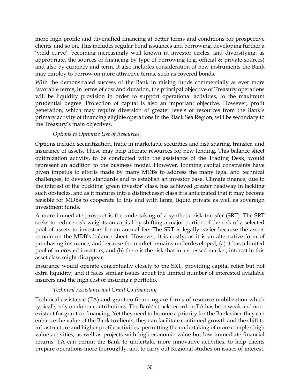more high profile and diversified financing at better terms and conditions for prospective clients, and so on. This includes regular bond issuances and borrowing, developing further a 'yield curve', becoming increasingly well known in investor circles, and diversifying, as appropriate, the sources of financing by type of borrowing (e.g. official & private sources) and also by currency and term. It also includes consideration of new instruments the Bank may employ to borrow on more attractive terms, such as covered bonds.

With the demonstrated success of the Bank in raising funds commercially at ever more favorable terms, in terms of cost and duration, the principal objective of Treasury operations will be liquidity provision in order to support operational activities, to the maximum prudential degree. Protection of capital is also an important objective. However, profit generation, which may require diversion of greater levels of resources from the Bank's primary activity of financing eligible operations in the Black Sea Region, will be secondary to the Treasury's main objectives.

#### *Options to Optimize Use of Resources*

<span id="page-33-0"></span>Options include securitization, trade in marketable securities and risk sharing, transfer, and insurance of assets. These may help liberate resources for new lending. This balance sheet optimization activity, to be conducted with the assistance of the Trading Desk, would represent an addition to the business model. However, looming capital constraints have given impetus to efforts made by many MDBs to address the many legal and technical challenges, to develop standards and to establish an investor base. Climate finance, due to the interest of the budding 'green investor' class, has achieved greater headway in tackling such obstacles, and as it matures into a distinct asset class it is anticipated that it may become feasible for MDBs to cooperate to this end with large, liquid private as well as sovereign investment funds.

A more immediate prospect is the undertaking of a synthetic risk transfer (SRT). The SRT seeks to reduce risk weights on capital by shifting a major portion of the risk of a selected pool of assets to investors for an annual fee. The SRT is legally easier because the assets remain on the MDB's balance sheet. However, it is costly, as it is an alternative form of purchasing insurance, and because the market remains underdeveloped, (a) it has a limited pool of interested investors, and (b) there is the risk that in a stressed market, interest in this asset class might disappear.

Insurance would operate conceptually closely to the SRT, providing capital relief but not extra liquidity, and it faces similar issues about the limited number of interested available insurers and the high cost of insuring a portfolio.

#### *Technical Assistance and Grant Co-financing*

<span id="page-33-1"></span>Technical assistance (TA) and grant co-financing are forms of resource mobilization which typically rely on donor contributions. The Bank's track record on TA has been weak and nonexistent for grant co-financing. Yet they need to become a priority for the Bank since they can enhance the value of the Bank to clients, they can facilitate continued growth and the shift to infrastructure and higher profile activities- permitting the undertaking of more complex high value activities, as well as projects with high economic value but low immediate financial returns. TA can permit the Bank to undertake more innovative activities, to help clients prepare operations more thoroughly, and to carry out Regional studies on issues of interest.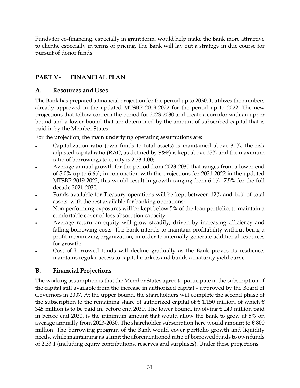Funds for co-financing, especially in grant form, would help make the Bank more attractive to clients, especially in terms of pricing. The Bank will lay out a strategy in due course for pursuit of donor funds.

### <span id="page-34-0"></span>**PART V- FINANCIAL PLAN**

### <span id="page-34-1"></span>**A. Resources and Uses**

The Bank has prepared a financial projection for the period up to 2030. It utilizes the numbers already approved in the updated MTSBP 2019-2022 for the period up to 2022. The new projections that follow concern the period for 2023-2030 and create a corridor with an upper bound and a lower bound that are determined by the amount of subscribed capital that is paid in by the Member States.

For the projection, the main underlying operating assumptions are:

- Capitalization ratio (own funds to total assets) is maintained above 30%, the risk adjusted capital ratio (RAC, as defined by S&P) is kept above 15% and the maximum ratio of borrowings to equity is 2.33:1.00;
- Average annual growth for the period from 2023-2030 that ranges from a lower end of 5.0% up to 6.6%; in conjunction with the projections for 2021-2022 in the updated MTSBP 2019-2022, this would result in growth ranging from 6.1%- 7.5% for the full decade 2021-2030;
- Funds available for Treasury operations will be kept between 12% and 14% of total assets, with the rest available for banking operations;
- Non-performing exposures will be kept below 5% of the loan portfolio, to maintain a comfortable cover of loss absorption capacity;
- Average return on equity will grow steadily, driven by increasing efficiency and falling borrowing costs. The Bank intends to maintain profitability without being a profit maximizing organization, in order to internally generate additional resources for growth;
- Cost of borrowed funds will decline gradually as the Bank proves its resilience, maintains regular access to capital markets and builds a maturity yield curve.

### <span id="page-34-2"></span>**B. Financial Projections**

The working assumption is that the Member States agree to participate in the subscription of the capital still available from the increase in authorized capital – approved by the Board of Governors in 2007. At the upper bound, the shareholders will complete the second phase of the subscription to the remaining share of authorized capital of  $\epsilon$  1,150 million, of which  $\epsilon$ 345 million is to be paid in, before end 2030. The lower bound, involving € 240 million paid in before end 2030, is the minimum amount that would allow the Bank to grow at 5% on average annually from 2023-2030. The shareholder subscription here would amount to  $\epsilon$  800 million. The borrowing program of the Bank would cover portfolio growth and liquidity needs, while maintaining as a limit the aforementioned ratio of borrowed funds to own funds of 2.33:1 (including equity contributions, reserves and surpluses). Under these projections: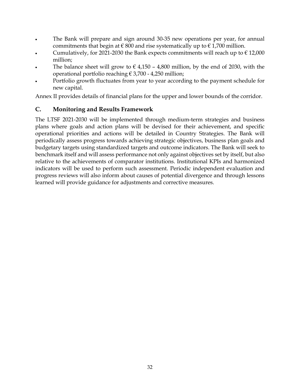- The Bank will prepare and sign around 30-35 new operations per year, for annual commitments that begin at  $\epsilon$  800 and rise systematically up to  $\epsilon$  1,700 million.
- Cumulatively, for 2021-2030 the Bank expects commitments will reach up to  $\epsilon$  12,000 million;
- The balance sheet will grow to  $\epsilon$  4,150 4,800 million, by the end of 2030, with the operational portfolio reaching  $\epsilon$  3,700 - 4,250 million;
- Portfolio growth fluctuates from year to year according to the payment schedule for new capital.

Annex II provides details of financial plans for the upper and lower bounds of the corridor.

#### <span id="page-35-0"></span>**C. Monitoring and Results Framework**

The LTSF 2021-2030 will be implemented through medium-term strategies and business plans where goals and action plans will be devised for their achievement, and specific operational priorities and actions will be detailed in Country Strategies. The Bank will periodically assess progress towards achieving strategic objectives, business plan goals and budgetary targets using standardized targets and outcome indicators. The Bank will seek to benchmark itself and will assess performance not only against objectives set by itself, but also relative to the achievements of comparator institutions. Institutional KPIs and harmonized indicators will be used to perform such assessment. Periodic independent evaluation and progress reviews will also inform about causes of potential divergence and through lessons learned will provide guidance for adjustments and corrective measures.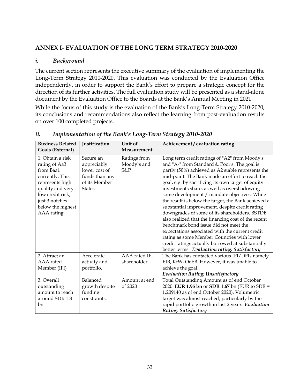#### <span id="page-36-0"></span>**ANNEX I- EVALUATION OF THE LONG TERM STRATEGY 2010-2020**

#### <span id="page-36-1"></span>*i. Background*

The current section represents the executive summary of the evaluation of implementing the Long-Term Strategy 2010-2020. This evaluation was conducted by the Evaluation Office independently, in order to support the Bank's effort to prepare a strategic concept for the direction of its further activities. The full evaluation study will be presented as a stand-alone document by the Evaluation Office to the Boards at the Bank's Annual Meeting in 2021.

While the focus of this study is the evaluation of the Bank's Long-Term Strategy 2010-2020, its conclusions and recommendations also reflect the learning from post-evaluation results on over 100 completed projects.

| <b>Business Related</b><br>Goals (External)                                                                                                                                        | Justification                                                                           | Unit of<br>Measurement             | Achievement / evaluation rating                                                                                                                                                                                                                                                                                                                                                                                                                                                                                                                                                                                                                                                                                                                                                                                             |
|------------------------------------------------------------------------------------------------------------------------------------------------------------------------------------|-----------------------------------------------------------------------------------------|------------------------------------|-----------------------------------------------------------------------------------------------------------------------------------------------------------------------------------------------------------------------------------------------------------------------------------------------------------------------------------------------------------------------------------------------------------------------------------------------------------------------------------------------------------------------------------------------------------------------------------------------------------------------------------------------------------------------------------------------------------------------------------------------------------------------------------------------------------------------------|
| 1. Obtain a risk<br>rating of Aa3<br>from Baa1<br>currently. This<br>represents high<br>quality and very<br>low credit risk,<br>just 3 notches<br>below the highest<br>AAA rating. | Secure an<br>appreciably<br>lower cost of<br>funds than any<br>of its Member<br>States. | Ratings from<br>Moody's and<br>S&P | Long term credit ratings of "A2" from Moody's<br>and "A-" from Standard & Poor's. The goal is<br>partly (50%) achieved as A2 stable represents the<br>mid-point. The Bank made an effort to reach the<br>goal, e.g. by sacrificing its own target of equity<br>investments share, as well as overshadowing<br>some development / mandate objectives. While<br>the result is below the target, the Bank achieved a<br>substantial improvement, despite credit rating<br>downgrades of some of its shareholders. BSTDB<br>also realized that the financing cost of the recent<br>benchmark bond issue did not meet the<br>expectations associated with the current credit<br>rating as some Member Countries with lower<br>credit ratings actually borrowed at substantially<br>better terms. Evaluation rating: Satisfactory |
| 2. Attract an<br>AAA rated<br>Member (IFI)                                                                                                                                         | Accelerate<br>activity and<br>portfolio.                                                | AAA rated IFI<br>shareholder       | The Bank has contacted various IFI/DFIs namely<br>EIB, KfW, OeEB. However, it was unable to<br>achieve the goal.<br><b>Evaluation Rating: Unsatisfactory</b>                                                                                                                                                                                                                                                                                                                                                                                                                                                                                                                                                                                                                                                                |
| 3. Overall<br>outstanding<br>amount to reach<br>around SDR 1.8<br>bn.                                                                                                              | Balanced<br>growth despite<br>funding<br>constraints.                                   | Amount at end<br>of $2020$         | Total Outstanding Amount as of end October<br>2020: EUR 1.96 bn or SDR 1.67 bn (EUR to SDR =<br>1,209140 as of end October 2020). Volumetric<br>target was almost reached, particularly by the<br>rapid portfolio growth in last 2 years. Evaluation<br>Rating: Satisfactory                                                                                                                                                                                                                                                                                                                                                                                                                                                                                                                                                |

#### <span id="page-36-2"></span>*ii. Implementation of the Bank's Long-Term Strategy 2010-2020*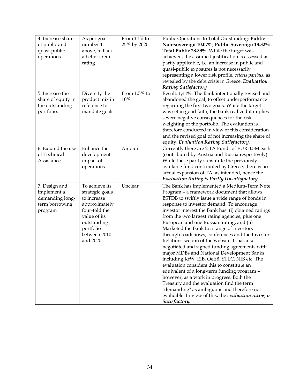| 4. Increase share  | As per goal     | From 11% to  | Public Operations to Total Outstanding: Public         |
|--------------------|-----------------|--------------|--------------------------------------------------------|
| of public and      | number 1        | 25% by 2020  | Non-sovereign 10.07%, Public Sovereign 18.32%          |
| quasi-public       | above, to back  |              | Total Public 28.39%. While the target was              |
| operations         | a better credit |              | achieved, the assumed justification is assessed as     |
|                    | rating          |              | partly applicable, i.e. an increase in public and      |
|                    |                 |              | quasi-public exposures is not necessarily              |
|                    |                 |              | representing a lower risk profile, ceteris paribus, as |
|                    |                 |              |                                                        |
|                    |                 |              | revealed by the debt crisis in Greece. Evaluation      |
| 5. Increase the    |                 | From 1.5% to | Rating: Satisfactory                                   |
|                    | Diversify the   |              | Result: 1,41%. The Bank intentionally revised and      |
| share of equity in | product mix in  | 10%          | abandoned the goal, to offset underperformance         |
| the outstanding    | reference to    |              | regarding the first two goals. While the target        |
| portfolio.         | mandate goals.  |              | was set in good faith, the Bank realized it implies    |
|                    |                 |              | severe negative consequences for the risk              |
|                    |                 |              | weighting of the portfolio. The evaluation is          |
|                    |                 |              | therefore conducted in view of this consideration      |
|                    |                 |              | and the revised goal of not increasing the share of    |
|                    |                 |              | equity. Evaluation Rating: Satisfactory.               |
| 6. Expand the use  | Enhance the     | Amount       | Currently there are 2 TA Funds of EUR 0.5M each        |
| of Technical       | development     |              | (contributed by Austria and Russia respectively).      |
| Assistance.        | impact of       |              | While these partly substitute the previously           |
|                    | operations.     |              | available fund contributed by Greece, there is no      |
|                    |                 |              | actual expansion of TA, as intended, hence the         |
|                    |                 |              | Evaluation Rating is Partly Unsatisfactory.            |
| 7. Design and      | To achieve its  | Unclear      | The Bank has implemented a Medium-Term Note            |
| implement a        | strategic goals |              | Program - a framework document that allows             |
| demanding long-    | to increase     |              | BSTDB to swiftly issue a wide range of bonds in        |
| term borrowing     | approximately   |              | response to investor demand. To encourage              |
| program            | four-fold the   |              | investor interest the Bank has: (i) obtained ratings   |
|                    | value of its    |              | from the two largest rating agencies, plus one         |
|                    |                 |              |                                                        |
|                    | outstanding     |              | European and one Russian rating, and (ii)              |
|                    | portfolio       |              | Marketed the Bank to a range of investors              |
|                    | between 2010    |              | through roadshows, conferences and the Investor        |
|                    | and 2020        |              | Relations section of the website. It has also          |
|                    |                 |              | negotiated and signed funding agreements with          |
|                    |                 |              | major MDBs and National Development Banks              |
|                    |                 |              | including KfW, EIB, OeEB, STLC. NIB etc. The           |
|                    |                 |              | evaluation considers this to constitute an             |
|                    |                 |              | equivalent of a long-term funding program -            |
|                    |                 |              | however, as a work in progress. Both the               |
|                    |                 |              | Treasury and the evaluation find the term              |
|                    |                 |              | "demanding" as ambiguous and therefore not             |
|                    |                 |              | evaluable. In view of this, the evaluation rating is   |
|                    |                 |              | Satisfactory.                                          |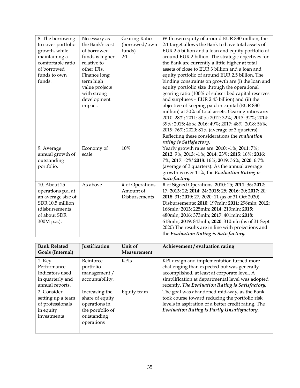| 8. The borrowing<br>to cover portfolio                                                                                        | Necessary as<br>the Bank's cost                                                                                                                      | Gearing Ratio<br>(borrowed/own                | With own equity of around EUR 830 million, the<br>2:1 target allows the Bank to have total assets of                                                                                                                                                                                                                                                                                                                                                                                                                                                                                                                                           |
|-------------------------------------------------------------------------------------------------------------------------------|------------------------------------------------------------------------------------------------------------------------------------------------------|-----------------------------------------------|------------------------------------------------------------------------------------------------------------------------------------------------------------------------------------------------------------------------------------------------------------------------------------------------------------------------------------------------------------------------------------------------------------------------------------------------------------------------------------------------------------------------------------------------------------------------------------------------------------------------------------------------|
| growth, while<br>maintaining a<br>comfortable ratio<br>of borrowed<br>funds to own<br>funds.                                  | of borrowed<br>funds is higher<br>relative to<br>other IFIs.<br>Finance long<br>term high<br>value projects<br>with strong<br>development<br>impact. | funds)<br>2:1                                 | EUR 2.5 billion and a loan and equity portfolio of<br>around EUR 2 billion. The strategic objectives for<br>the Bank are currently a little higher at total<br>assets of close to EUR 3 billion and a loan and<br>equity portfolio of around EUR 2.5 billion. The<br>binding constraints on growth are (i) the loan and<br>equity portfolio size through the operational<br>gearing ratio (100% of subscribed capital reserves<br>and surpluses - EUR 2.43 billion) and (ii) the<br>objective of keeping paid in capital (EUR 830<br>million) at 30% of total assets. Gearing ratios are:<br>2010: 28%; 2011: 30%; 2012: 32%; 2013: 32%; 2014: |
|                                                                                                                               |                                                                                                                                                      |                                               | 39%; 2015: 46%; 2016: 49%; 2017: 48%' 2018: 56%;<br>2019: 76%; 2020: 81% (average of 3 quarters)<br>Reflecting these considerations the evaluation<br>rating is Satisfactory.                                                                                                                                                                                                                                                                                                                                                                                                                                                                  |
| 9. Average<br>annual growth of<br>outstanding<br>portfolio.                                                                   | Economy of<br>scale                                                                                                                                  | 10%                                           | Yearly growth rates are: 2010: -1%; 2011: 7%;<br>2012: 9%; 2013: -1%; 2014: 23%; 2015: 16%; 2016:<br>7%; 2017: -2%' 2018: 16%; 2019: 36%; 2020: 6.7%<br>(average of 3 quarters). As the annual average<br>growth is over 11%, the Evaluation Rating is<br>Satisfactory.                                                                                                                                                                                                                                                                                                                                                                        |
| 10. About 25<br>operations p.a. at<br>an average size of<br>SDR 10.5 million<br>(disbursements<br>of about SDR<br>300M p.a.). | As above                                                                                                                                             | # of Operations<br>Amount of<br>Disbursements | # of Signed Operations: 2010: 25; 2011: 36; 2012:<br>17; 2013: 22; 2014: 24; 2015: 25; 2016: 20; 2017: 20;<br>2018: 31; 2019: 27; 2020: 11 (as of 31 Oct 2020).<br>Disbursements: 2010: 197mln; 2011: 298mln; 2012:<br>168mln; 2013: 225mln; 2014: 213mln; 2015:<br>480mln; 2016: 373mln; 2017: 401mln; 2018:<br>618mln; 2019: 843mln; 2020: 310mln (as of 31 Sept<br>2020) The results are in line with projections and<br>the Evaluation Rating is Satisfactory.                                                                                                                                                                             |

| <b>Bank Related</b><br>Goals (Internal)                                          | Justification                                                                                       | Unit of<br>Measurement | Achievement / evaluation rating                                                                                                                                                                                                                  |
|----------------------------------------------------------------------------------|-----------------------------------------------------------------------------------------------------|------------------------|--------------------------------------------------------------------------------------------------------------------------------------------------------------------------------------------------------------------------------------------------|
| 1. Key<br>Performance<br>Indicators used<br>in quarterly and<br>annual reports.  | Reinforce<br>portfolio<br>management /<br>accountability.                                           | <b>KPIs</b>            | KPI design and implementation turned more<br>challenging than expected but was generally<br>accomplished, at least at corporate level. A<br>simplification at departmental level was adopted<br>recently. The Evaluation Rating is Satisfactory. |
| 2. Consider<br>setting up a team<br>of professionals<br>in equity<br>investments | Increasing the<br>share of equity<br>operations in<br>the portfolio of<br>outstanding<br>operations | Equity team            | The goal was abandoned mid-way, as the Bank<br>took course toward reducing the portfolio risk<br>levels in aspiration of a better credit rating. The<br>Evaluation Rating is Partly Unsatisfactory.                                              |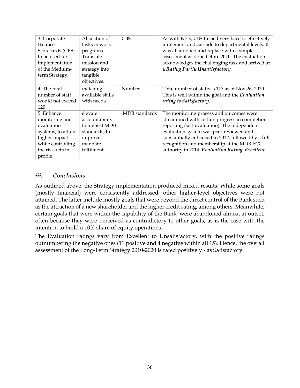| 3. Corporate       | Allocation of    | <b>CBS</b>    | As with KPIs, CBS turned very hard to effectively  |
|--------------------|------------------|---------------|----------------------------------------------------|
| Balance            | tasks in work    |               | implement and cascade to departmental levels. It   |
| Scorecards (CBS)   | programs.        |               | was abandoned and replace with a simple            |
| to be used for     | Translate        |               | assessment as done before 2010. The evaluation     |
| implementation     | mission and      |               | acknowledges the challenging task and arrived at   |
| of the Medium-     | strategy into    |               | a Rating Partly Unsatisfactory.                    |
| term Strategy.     | tangible         |               |                                                    |
|                    | objectives.      |               |                                                    |
| 4. The total       | matching         | Number        | Total number of staffs is 117 as of Nov 26, 2020.  |
| number of staff    | available skills |               | This is well within the goal and the Evaluation    |
| would not exceed   | with needs.      |               | rating is Satisfactory.                            |
| 120                |                  |               |                                                    |
| 5. Enhance         | elevate          | MDB standards | The monitoring process and outcomes were           |
| monitoring and     | accountability   |               | streamlined with certain progress in completion    |
| evaluation         | to highest MDB   |               | reporting (self-evaluation). The independent       |
| systems, to attain | standards, to    |               | evaluation system was peer reviewed and            |
| higher impact      | improve          |               | substantially enhanced in 2012, followed by a full |
| while controlling  | mandate          |               | recognition and membership at the MDB ECG          |
| the risk-return    | fulfilment       |               | authority in 2014. Evaluation Rating: Excellent.   |
| profile.           |                  |               |                                                    |

#### <span id="page-39-0"></span>*iii. Conclusions*

As outlined above, the Strategy implementation produced mixed results. While some goals (mostly financial) were consistently addressed, other higher-level objectives were not attained. The latter include mostly goals that were beyond the direct control of the Bank such as the attraction of a new shareholder and the higher credit rating, among others. Meanwhile, certain goals that were within the capability of the Bank, were abandoned almost at outset, often because they were perceived as contradictory to other goals, as is the case with the intention to build a 10% share of equity operations.

The Evaluation ratings vary from Excellent to Unsatisfactory, with the positive ratings outnumbering the negative ones (11 positive and 4 negative within all 15). Hence, the overall assessment of the Long-Term Strategy 2010-2020 is rated positively - as Satisfactory.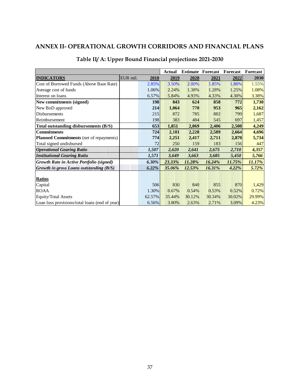### <span id="page-40-0"></span>**ANNEX II- OPERATIONAL GROWTH CORRIDORS AND FINANCIAL PLANS**

|                                                |          |          | <b>Actual</b> |        | <b>Estimate Forecast</b> | Forecast | Forecast |
|------------------------------------------------|----------|----------|---------------|--------|--------------------------|----------|----------|
| <b>INDICATORS</b>                              | EUR mil. | 2010     | 2019          | 2020   | 2021                     | 2022     | 2030     |
| Cost of Borrowed Funds (Above Base Rate)       |          | 2.85%    | 3.50%         | 2.00%  | 1.85%                    | 1.80%    | 1.55%    |
| Average cost of funds                          |          | 1.06%    | 2.24%         | 1.38%  | 1.28%                    | 1.25%    | 1.08%    |
| Interest on loans                              |          | 6.57%    | 5.84%         | 4.93%  | 4.33%                    | 4.30%    | 3.38%    |
| New commitments (signed)                       |          | 198      | 843           | 624    | 858                      | 772      | 1,730    |
| New BoD approved                               |          | 214      | 1,064         | 770    | 953                      | 965      | 2,162    |
| Disbursements                                  |          | 215      | 872           | 785    | 882                      | 799      | 1,687    |
| Reimbursement                                  |          | 198      | 383           | 484    | 545                      | 697      | 1,457    |
| Total outstanding disbursements (B/S)          |          | 653      | 1,851         | 2,069  | 2,406                    | 2,508    | 4,249    |
| <b>Commitments</b>                             |          | 724      | 2,101         | 2,228  | 2,589                    | 2,664    | 4,696    |
| <b>Planned Commitments</b> (net of repayments) |          | 774      | 2,251         | 2,417  | 2,711                    | 2,870    | 5,734    |
| Total signed undisbursed                       |          | 72       | 250           | 159    | 183                      | 156      | 447      |
| <b>Operational Gearing Ratio</b>               |          | 1,507    | 2,620         | 2,641  | 2,675                    | 2,710    | 4,357    |
| <b>Institutional Gearing Ratio</b>             |          | 1,571    | 3,649         | 3,663  | 3,685                    | 5,450    | 5,766    |
| Growth Rate in Active Portfolio (signed)       |          | $6.30\%$ | 23.33%        | 11.28% | 16.24%                   | 11.75%   | 11.17%   |
| <b>Growth in gross Loans outstanding (B/S)</b> |          | $6.22\%$ | 35.06%        | 12.53% | 16.31%                   | $4.22\%$ | 5.72%    |
| <b>Ratios</b>                                  |          |          |               |        |                          |          |          |
| Capital                                        |          | 506      | 830           | 840    | 855                      | 870      | 1,429    |
| <b>ROAA</b>                                    |          | 1.30%    | 0.67%         | 0.54%  | 0.53%                    | 0.52%    | 0.72%    |
| <b>Equity/Total Assets</b>                     |          | 62.57%   | 35.44%        | 30.12% | 30.34%                   | 30.02%   | 29.99%   |
| Loan loss provisions/total loans (end of year) |          | 6.56%    | 3.80%         | 2.63%  | 2.71%                    | 3.09%    | 4.23%    |

### **Table II/ A: Upper Bound Financial projections 2021-2030**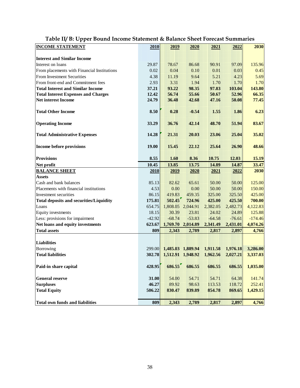| <b>INCOME STATEMENT</b>                        | 2010     | 2019     | 2020              | 2021     | 2022     | 2030      |
|------------------------------------------------|----------|----------|-------------------|----------|----------|-----------|
| <b>Interest and Similar Income</b>             |          |          |                   |          |          |           |
| Interest on loans                              | 29.87    | 78.67    | 86.68             | 90.91    | 97.09    | 135.96    |
| From placements with Financial Institutions    | 0.02     | 0.04     | 0.10              | 0.01     | 0.03     | 0.45      |
| From Investment Securities                     | 4.38     | 11.19    | 9.64              | 5.21     | 4.23     | 5.69      |
| From front-end and Commitment fees             | 2.93     | 3.31     | 1.94              | 1.70     | 1.70     | 1.70      |
| <b>Total Interest and Similar Income</b>       | 37.21    | 93.22    | 98.35             | 97.83    | 103.04   | 143.80    |
| <b>Total Interest Expenses and Charges</b>     | 12.42    | 56.74    | 55.66             | 50.67    | 52.96    | 66.35     |
| <b>Net interest Income</b>                     | 24.79    | 36.48    | 42.68             | 47.16    | 50.08    | 77.45     |
| <b>Total Other Income</b>                      | 8.50     | 0.28     | $-0.54$           | 1.55     | 1.86     | 6.23      |
| <b>Operating Income</b>                        | 33.29    | 36.76    | 42.14             | 48.70    | 51.94    | 83.67     |
| <b>Total Administrative Expenses</b>           | 14.28    | 21.31    | 20.03             | 23.06    | 25.04    | 35.02     |
| <b>Income before provisions</b>                | 19.00    | 15.45    | 22.12             | 25.64    | 26.90    | 48.66     |
| <b>Provisions</b>                              | 8.55     | 1.60     | 8.36              | 10.75    | 12.03    | 15.19     |
| Net profit                                     | 10.45    | 13.85    | 13.75             | 14.89    | 14.87    | 33.47     |
| <b>BALANCE SHEET</b>                           | 2010     | 2019     | 2020              | 2021     | 2022     | 2030      |
| <b>Assets</b>                                  |          |          |                   |          |          |           |
| Cash and bank balances                         | 85.13    | 82.62    | 65.61             | 50.00    | 50.00    | 125.00    |
| Placements with financial institutions         | 4.53     | 0.00     | 0.00              | 50.00    | 50.00    | 150.00    |
| Investment securities                          | 86.15    | 419.83   | 459.35            | 325.00   | 325.50   | 425.00    |
| <b>Total deposits and securities/Liquidity</b> | 175.81   | 502.45   | 724.96            | 425.00   | 425.50   | 700.00    |
| Loans                                          | 654.75   |          | 1,808.05 2,044.91 | 2,382.05 | 2,482.73 | 4,122.83  |
| Equity investments                             | 18.15    | 30.39    | 23.81             | 24.02    | 24.89    | 125.88    |
| Less: provisions for impairment                | $-42.92$ | $-68.74$ | $-53.83$          | $-64.58$ | $-76.61$ | $-174.46$ |
| Net loans and equity investments               | 623.67   |          | 1,769.70 2,014.89 | 2,341.49 | 2,431.01 | 4,074.26  |
| <b>Total assets</b>                            | 809      | 2,343    | 2,789             | 2,817    | 2,897    | 4,766     |
| Liabilities                                    |          |          |                   |          |          |           |
| Borrowing                                      | 299.00   |          | 1,485.03 1,889.94 | 1,911.58 | 1,976.18 | 3,286.00  |
| <b>Total liabilities</b>                       | 302.78   |          | 1,512.91 1,948.92 | 1,962.56 | 2,027.21 | 3,337.03  |
| Paid-in share capital                          | 428.95   | 686.55   | 686.55            | 686.55   | 686.55   | 1,035.00  |
| <b>General reserve</b>                         | 31.00    | 54.00    | 54.71             | 54.71    | 64.38    | 141.74    |
| <b>Surpluses</b>                               | 46.27    | 89.92    | 98.63             | 113.53   | 118.72   | 252.41    |
| <b>Total Equity</b>                            | 506.22   | 830.47   | 839.89            | 854.78   | 869.65   | 1,429.15  |
| <b>Total own funds and liabilities</b>         | 809      | 2,343    | 2,789             | 2,817    | 2,897    | 4,766     |

## **Table II/ B: Upper Bound Income Statement & Balance Sheet Forecast Summaries**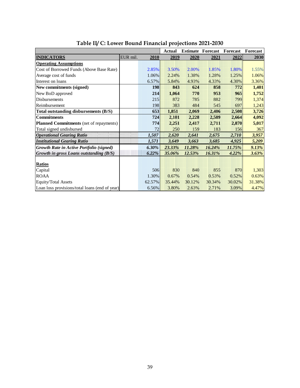|                                                |          |          | Actual | <b>Estimate</b> | Forecast | Forecast | Forecast |
|------------------------------------------------|----------|----------|--------|-----------------|----------|----------|----------|
| <b>INDICATORS</b>                              | EUR mil. | 2010     | 2019   | 2020            | 2021     | 2022     | 2030     |
| <b>Operating Assumptions</b>                   |          |          |        |                 |          |          |          |
| Cost of Borrowed Funds (Above Base Rate)       |          | 2.85%    | 3.50%  | $2.00\%$        | 1.85%    | 1.80%    | 1.55%    |
| Average cost of funds                          |          | 1.06%    | 2.24%  | 1.38%           | 1.28%    | 1.25%    | 1.06%    |
| Interest on loans                              |          | 6.57%    | 5.84%  | 4.93%           | 4.33%    | 4.30%    | 3.36%    |
| New commitments (signed)                       |          | 198      | 843    | 624             | 858      | 772      | 1,401    |
| New BoD approved                               |          | 214      | 1,064  | 770             | 953      | 965      | 1,752    |
| Disbursements                                  |          | 215      | 872    | 785             | 882      | 799      | 1,374    |
| Reimbursement                                  |          | 198      | 383    | 484             | 545      | 697      | 1,243    |
| Total outstanding disbursements (B/S)          |          | 653      | 1,851  | 2,069           | 2,406    | 2,508    | 3,726    |
| <b>Commitments</b>                             |          | 724      | 2,101  | 2,228           | 2,589    | 2,664    | 4,092    |
| Planned Commitments (net of repayments)        |          | 774      | 2,251  | 2,417           | 2,711    | 2,870    | 5,017    |
| Total signed undisbursed                       |          | 72       | 250    | 159             | 183      | 156      | 367      |
| <b>Operational Gearing Ratio</b>               |          | 1,507    | 2,620  | 2,641           | 2,675    | 2,710    | 3,957    |
| <b>Institutional Gearing Ratio</b>             |          | 1,571    | 3,649  | 3,663           | 3,685    | 4,925    | 5,209    |
| Growth Rate in Active Portfolio (signed)       |          | $6.30\%$ | 23.33% | 11.28%          | 16.24%   | 11.75%   | 9.13%    |
| <b>Growth in gross Loans outstanding (B/S)</b> |          | 6.22%    | 35.06% | 12.53%          | 16.31%   | $4.22\%$ | 3.63%    |
|                                                |          |          |        |                 |          |          |          |
| <b>Ratios</b>                                  |          |          |        |                 |          |          |          |
| Capital                                        |          | 506      | 830    | 840             | 855      | 870      | 1,303    |
| <b>ROAA</b>                                    |          | 1.30%    | 0.67%  | 0.54%           | 0.53%    | 0.52%    | 0.63%    |
| <b>Equity/Total Assets</b>                     |          | 62.57%   | 35.44% | 30.12%          | 30.34%   | 30.02%   | 31.38%   |
| Loan loss provisions/total loans (end of year) |          | 6.56%    | 3.80%  | 2.63%           | 2.71%    | 3.09%    | 4.47%    |

#### **Table II/ C: Lower Bound Financial projections 2021-2030**